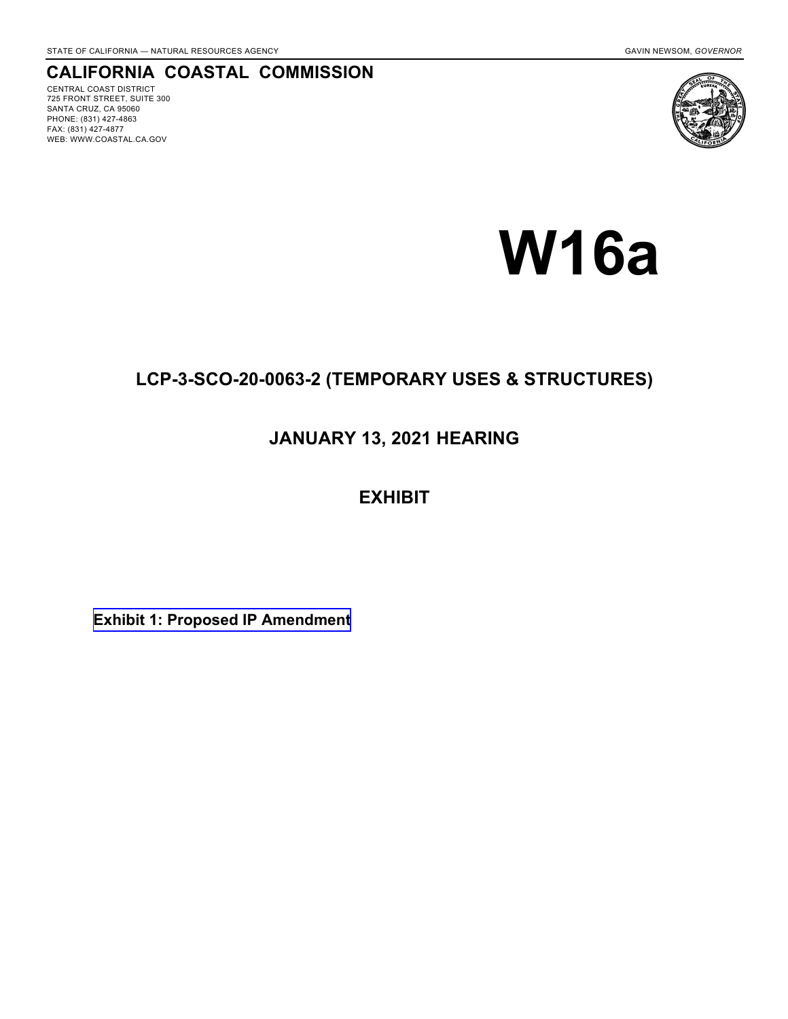# **CALIFORNIA COASTAL COMMISSION**

CENTRAL COAST DISTRICT 725 FRONT STREET, SUITE 300 SANTA CRUZ, CA 95060 PHONE: (831) 427-4863 FAX: (831) 427-4877 WEB: WWW.COASTAL.CA.GOV



# **W16a**

# **LCP-3-SCO-20-0063-2 (TEMPORARY USES & STRUCTURES)**

# **JANUARY 13, 2021 HEARING**

# **EXHIBIT**

**[Exhibit 1: Proposed IP Amendment](#page-1-0)**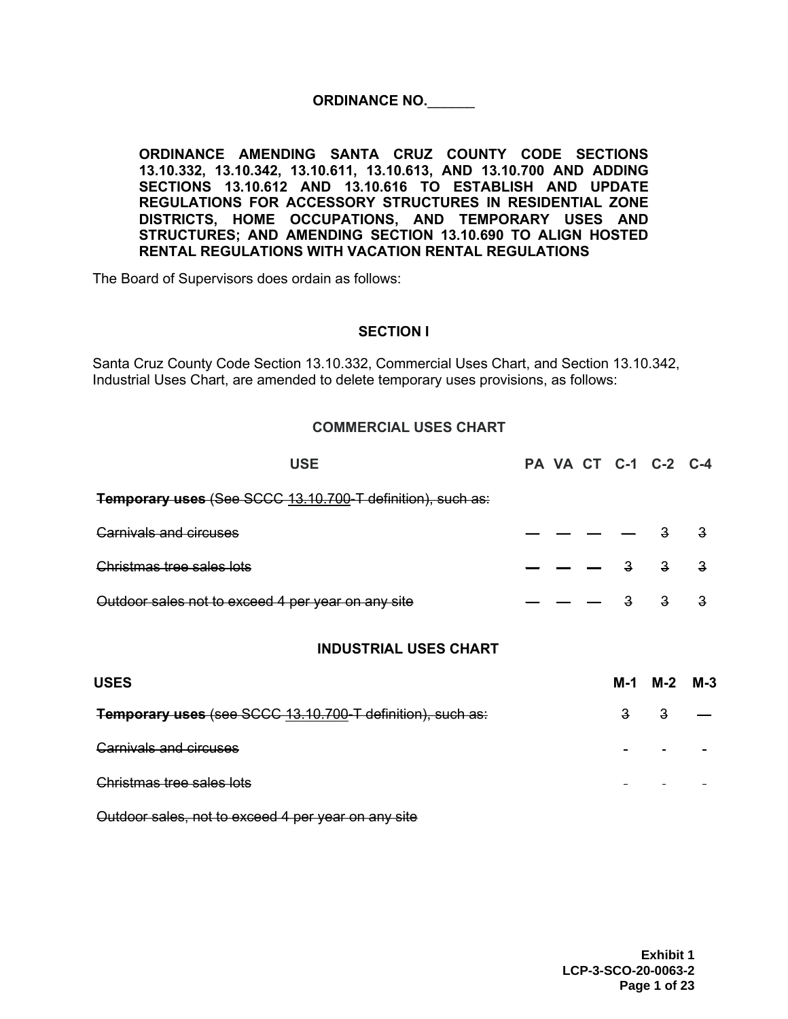## ORDINANCE NO.

<span id="page-1-0"></span>**ORDINANCE AMENDING SANTA CRUZ COUNTY CODE SECTIONS 13.10.332, 13.10.342, 13.10.611, 13.10.613, AND 13.10.700 AND ADDING SECTIONS 13.10.612 AND 13.10.616 TO ESTABLISH AND UPDATE REGULATIONS FOR ACCESSORY STRUCTURES IN RESIDENTIAL ZONE DISTRICTS, HOME OCCUPATIONS, AND TEMPORARY USES AND STRUCTURES; AND AMENDING SECTION 13.10.690 TO ALIGN HOSTED RENTAL REGULATIONS WITH VACATION RENTAL REGULATIONS**

The Board of Supervisors does ordain as follows:

#### **SECTION I**

Santa Cruz County Code Section 13.10.332, Commercial Uses Chart, and Section 13.10.342, Industrial Uses Chart, are amended to delete temporary uses provisions, as follows:

#### **COMMERCIAL USES CHART**

| <b>USE</b>                                                 |  |              | PA VA CT C-1 C-2 C-4 |       |
|------------------------------------------------------------|--|--------------|----------------------|-------|
| Temporary uses (See SCCC 13.10.700-T definition), such as: |  |              |                      |       |
| <b>Carnivals and circuses</b>                              |  |              |                      |       |
| Christmas tree sales lots                                  |  | 3            |                      | 3     |
| Outdoor sales not to exceed 4 per year on any site         |  | 3            | 3                    | З     |
| <b>INDUSTRIAL USES CHART</b>                               |  |              |                      |       |
| <b>USES</b>                                                |  | M-1          | M-2                  | $M-3$ |
| Temporary uses (see SCCC 13.10.700-T definition), such as: |  | $\mathbf{3}$ | 3                    |       |
| <b>Carnivals and circuses</b>                              |  |              |                      |       |
| Christmas tree sales lots                                  |  |              |                      |       |

Outdoor sales, not to exceed 4 per year on any site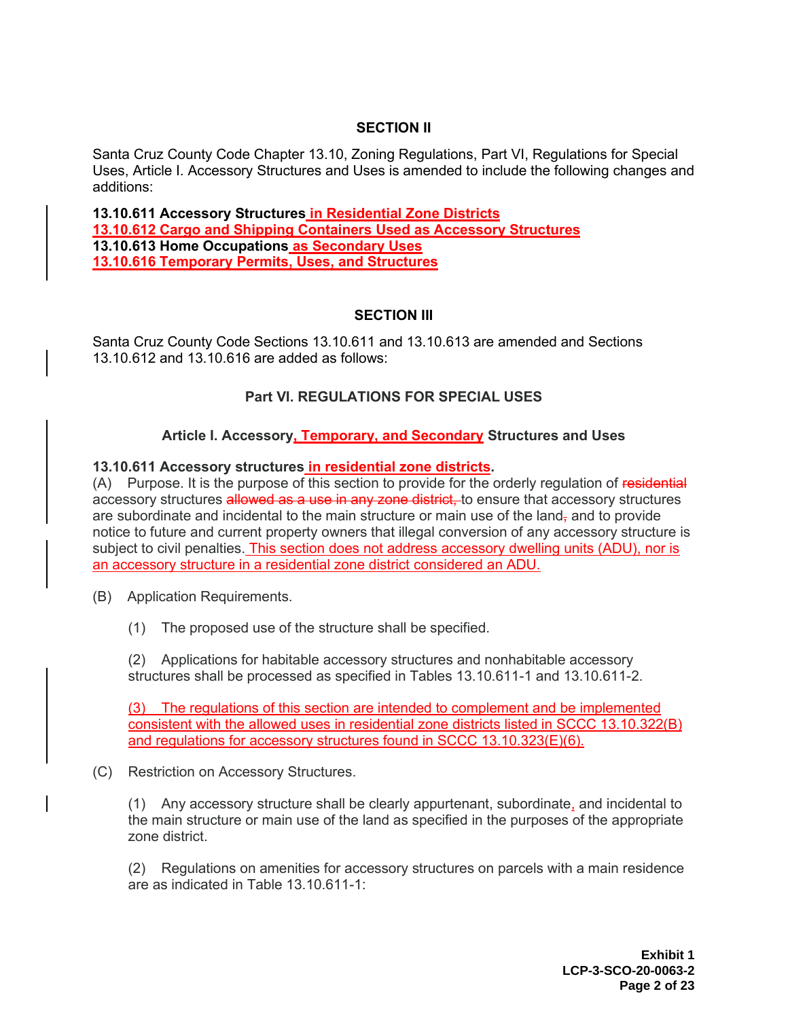## **SECTION II**

Santa Cruz County Code Chapter 13.10, Zoning Regulations, Part VI, Regulations for Special Uses, Article I. Accessory Structures and Uses is amended to include the following changes and additions:

**13.10.611 Accessory Structures in Residential Zone Districts 13.10.612 Cargo and Shipping Containers Used as Accessory Structures 13.10.613 Home Occupations as Secondary Uses 13.10.616 Temporary Permits, Uses, and Structures**

## **SECTION III**

Santa Cruz County Code Sections 13.10.611 and 13.10.613 are amended and Sections 13.10.612 and 13.10.616 are added as follows:

## **Part VI. REGULATIONS FOR SPECIAL USES**

## **Article I. Accessory, Temporary, and Secondary Structures and Uses**

#### **13.10.611 Accessory structures in residential zone districts.**

(A) Purpose. It is the purpose of this section to provide for the orderly regulation of residential accessory structures allowed as a use in any zone district, to ensure that accessory structures are subordinate and incidental to the main structure or main use of the land, and to provide notice to future and current property owners that illegal conversion of any accessory structure is subject to civil penalties. This section does not address accessory dwelling units (ADU), nor is an accessory structure in a residential zone district considered an ADU.

- (B) Application Requirements.
	- (1) The proposed use of the structure shall be specified.

(2) Applications for habitable accessory structures and nonhabitable accessory structures shall be processed as specified in Tables 13.10.611-1 and 13.10.611-2.

(3) The regulations of this section are intended to complement and be implemented consistent with the allowed uses in residential zone districts listed in SCCC 13.10.322(B) and regulations for accessory structures found in SCCC 13.10.323(E)(6).

(C) Restriction on Accessory Structures.

(1) Any accessory structure shall be clearly appurtenant, subordinate, and incidental to the main structure or main use of the land as specified in the purposes of the appropriate zone district.

(2) Regulations on amenities for accessory structures on parcels with a main residence are as indicated in Table 13.10.611-1: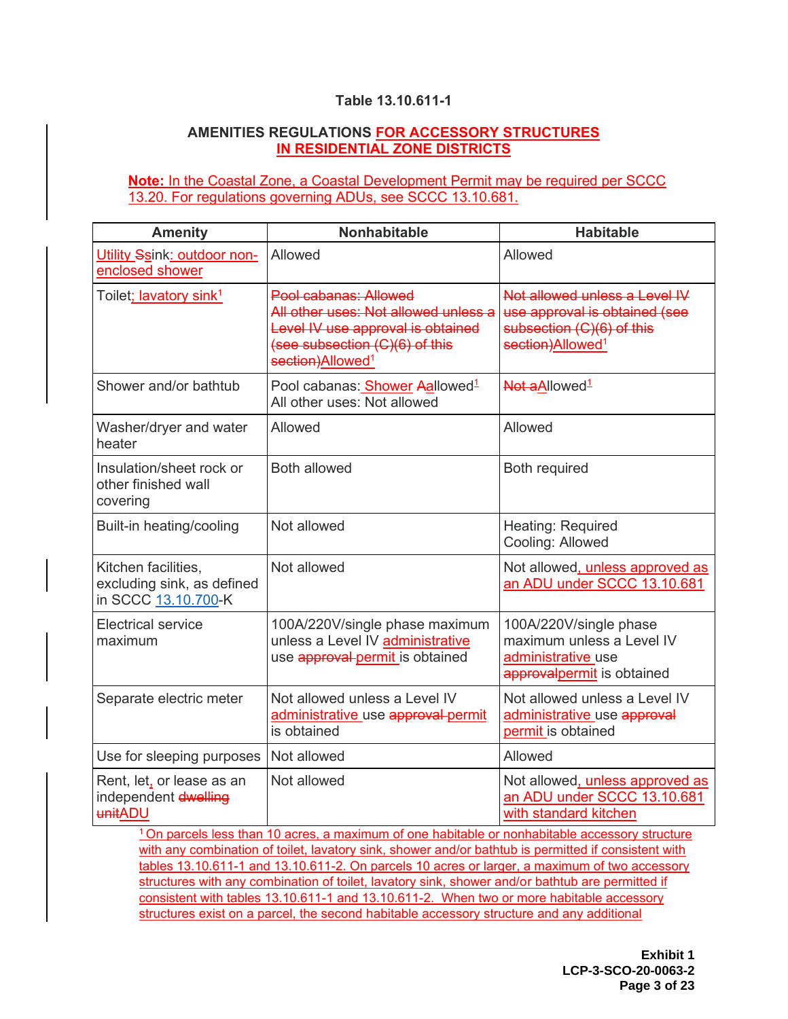## **Table 13.10.611-1**

#### **AMENITIES REGULATIONS FOR ACCESSORY STRUCTURES IN RESIDENTIAL ZONE DISTRICTS**

**Note:** In the Coastal Zone, a Coastal Development Permit may be required per SCCC 13.20. For regulations governing ADUs, see SCCC 13.10.681.

| <b>Amenity</b>                                                           | <b>Nonhabitable</b>                                                                                                                                                  | <b>Habitable</b>                                                                                                            |
|--------------------------------------------------------------------------|----------------------------------------------------------------------------------------------------------------------------------------------------------------------|-----------------------------------------------------------------------------------------------------------------------------|
| Utility Ssink: outdoor non-<br>enclosed shower                           | Allowed                                                                                                                                                              | Allowed                                                                                                                     |
| Toilet; lavatory sink <sup>1</sup>                                       | Pool cabanas: Allowed<br>All other uses: Not allowed unless a<br>Level IV use approval is obtained<br>(see subsection (C)(6) of this<br>section)Allowed <sup>1</sup> | Not allowed unless a Level IV<br>use approval is obtained (see<br>subsection (C)(6) of this<br>section)Allowed <sup>1</sup> |
| Shower and/or bathtub                                                    | Pool cabanas: Shower Aallowed <sup>1</sup><br>All other uses: Not allowed                                                                                            | Not aAllowed <sup>1</sup>                                                                                                   |
| Washer/dryer and water<br>heater                                         | Allowed                                                                                                                                                              | Allowed                                                                                                                     |
| Insulation/sheet rock or<br>other finished wall<br>covering              | <b>Both allowed</b>                                                                                                                                                  | <b>Both required</b>                                                                                                        |
| Built-in heating/cooling                                                 | Not allowed                                                                                                                                                          | Heating: Required<br>Cooling: Allowed                                                                                       |
| Kitchen facilities,<br>excluding sink, as defined<br>in SCCC 13.10.700-K | Not allowed                                                                                                                                                          | Not allowed, unless approved as<br>an ADU under SCCC 13.10.681                                                              |
| <b>Electrical service</b><br>maximum                                     | 100A/220V/single phase maximum<br>unless a Level IV administrative<br>use <b>approval permit</b> is obtained                                                         | 100A/220V/single phase<br>maximum unless a Level IV<br>administrative use<br>approvalpermit is obtained                     |
| Separate electric meter                                                  | Not allowed unless a Level IV<br>administrative use approval permit<br>is obtained                                                                                   | Not allowed unless a Level IV<br>administrative use approval<br>permit is obtained                                          |
| Use for sleeping purposes                                                | Not allowed                                                                                                                                                          | Allowed                                                                                                                     |
| Rent, let, or lease as an<br>independent dwelling<br>unitADU             | Not allowed<br>1 On porcela legal them 40 cores in mentioning of one bobitable or pophobitable excessor interactive                                                  | Not allowed, unless approved as<br>an ADU under SCCC 13.10.681<br>with standard kitchen                                     |

<sup>1</sup>On parcels less than 10 acres, a maximum of one habitable or nonhabitable accessory structure with any combination of toilet, lavatory sink, shower and/or bathtub is permitted if consistent with tables 13.10.611-1 and 13.10.611-2. On parcels 10 acres or larger, a maximum of two accessory structures with any combination of toilet, lavatory sink, shower and/or bathtub are permitted if consistent with tables 13.10.611-1 and 13.10.611-2. When two or more habitable accessory structures exist on a parcel, the second habitable accessory structure and any additional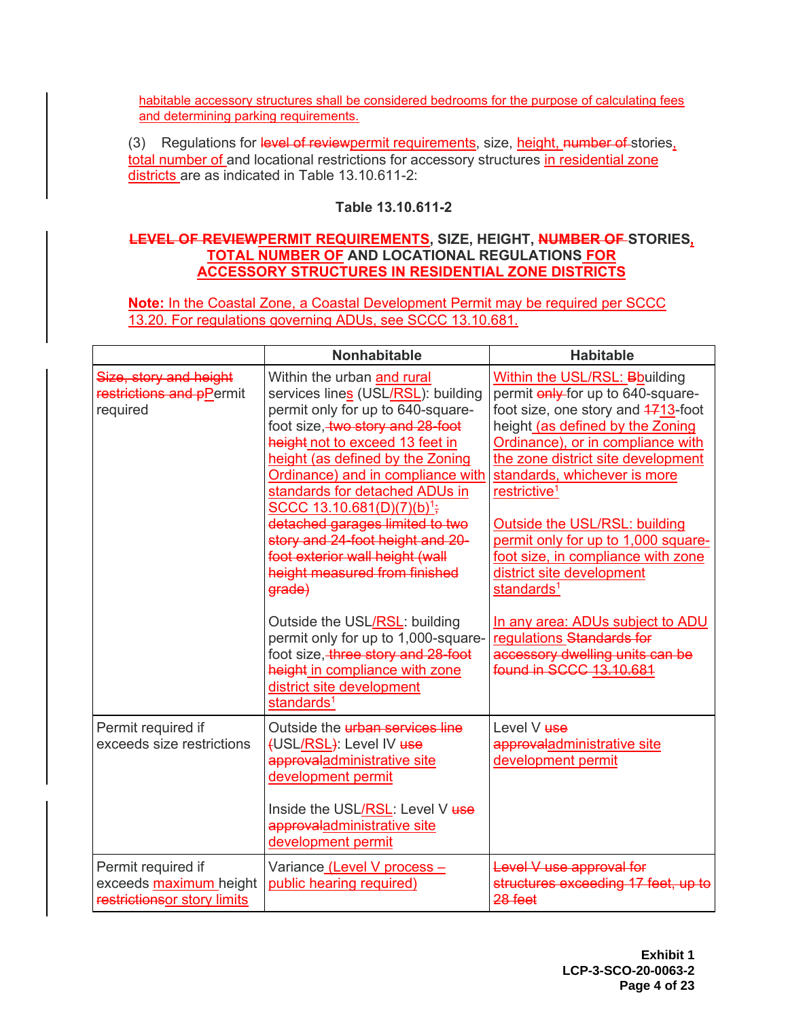habitable accessory structures shall be considered bedrooms for the purpose of calculating fees and determining parking requirements.

(3) Regulations for level of reviewpermit requirements, size, height, number of stories, total number of and locational restrictions for accessory structures in residential zone districts are as indicated in Table 13.10.611-2:

## **Table 13.10.611-2**

#### **LEVEL OF REVIEWPERMIT REQUIREMENTS, SIZE, HEIGHT, NUMBER OF STORIES, TOTAL NUMBER OF AND LOCATIONAL REGULATIONS FOR ACCESSORY STRUCTURES IN RESIDENTIAL ZONE DISTRICTS**

**Note:** In the Coastal Zone, a Coastal Development Permit may be required per SCCC 13.20. For regulations governing ADUs, see SCCC 13.10.681.

|                                                                             | <b>Nonhabitable</b>                                                                                                                                                                                                                                                                                                                                                                                                                                                                                                                                                                                                                                                                           | <b>Habitable</b>                                                                                                                                                                                                                                                                                                                                                                                                                                                                                                                                                                               |
|-----------------------------------------------------------------------------|-----------------------------------------------------------------------------------------------------------------------------------------------------------------------------------------------------------------------------------------------------------------------------------------------------------------------------------------------------------------------------------------------------------------------------------------------------------------------------------------------------------------------------------------------------------------------------------------------------------------------------------------------------------------------------------------------|------------------------------------------------------------------------------------------------------------------------------------------------------------------------------------------------------------------------------------------------------------------------------------------------------------------------------------------------------------------------------------------------------------------------------------------------------------------------------------------------------------------------------------------------------------------------------------------------|
| Size, story and height<br>restrictions and pPermit<br>required              | Within the urban and rural<br>services lines (USL/RSL): building<br>permit only for up to 640-square-<br>foot size, two story and 28-foot<br>height not to exceed 13 feet in<br>height (as defined by the Zoning<br>Ordinance) and in compliance with<br>standards for detached ADUs in<br>SCCC 13.10.681(D)(7)(b) <sup>1</sup> ;<br>detached garages limited to two<br>story and 24-foot height and 20-<br>foot exterior wall height (wall<br>height measured from finished<br>grade)<br>Outside the USL/RSL: building<br>permit only for up to 1,000-square-<br>foot size, three story and 28-foot<br>height in compliance with zone<br>district site development<br>standards <sup>1</sup> | <b>Within the USL/RSL: Bbuilding</b><br>permit only-for up to 640-square-<br>foot size, one story and 4713-foot<br>height (as defined by the Zoning<br>Ordinance), or in compliance with<br>the zone district site development<br>standards, whichever is more<br>restrictive <sup>1</sup><br>Outside the USL/RSL: building<br>permit only for up to 1,000 square-<br>foot size, in compliance with zone<br>district site development<br>standards <sup>1</sup><br>In any area: ADUs subject to ADU<br>regulations Standards for<br>accessory dwelling units can be<br>found in SCCC 13.10.681 |
| Permit required if<br>exceeds size restrictions                             | Outside the <i>urban</i> services line<br>(USL/RSL): Level IV use<br>approvaladministrative site<br>development permit<br>Inside the USL/RSL: Level V use<br>approvaladministrative site<br>development permit                                                                                                                                                                                                                                                                                                                                                                                                                                                                                | Level V <b>use</b><br>approvaladministrative site<br>development permit                                                                                                                                                                                                                                                                                                                                                                                                                                                                                                                        |
| Permit required if<br>exceeds maximum height<br>restrictionsor story limits | Variance (Level V process -<br>public hearing required)                                                                                                                                                                                                                                                                                                                                                                                                                                                                                                                                                                                                                                       | Level V use approval for<br>structures exceeding 17 feet, up to<br>28 feet                                                                                                                                                                                                                                                                                                                                                                                                                                                                                                                     |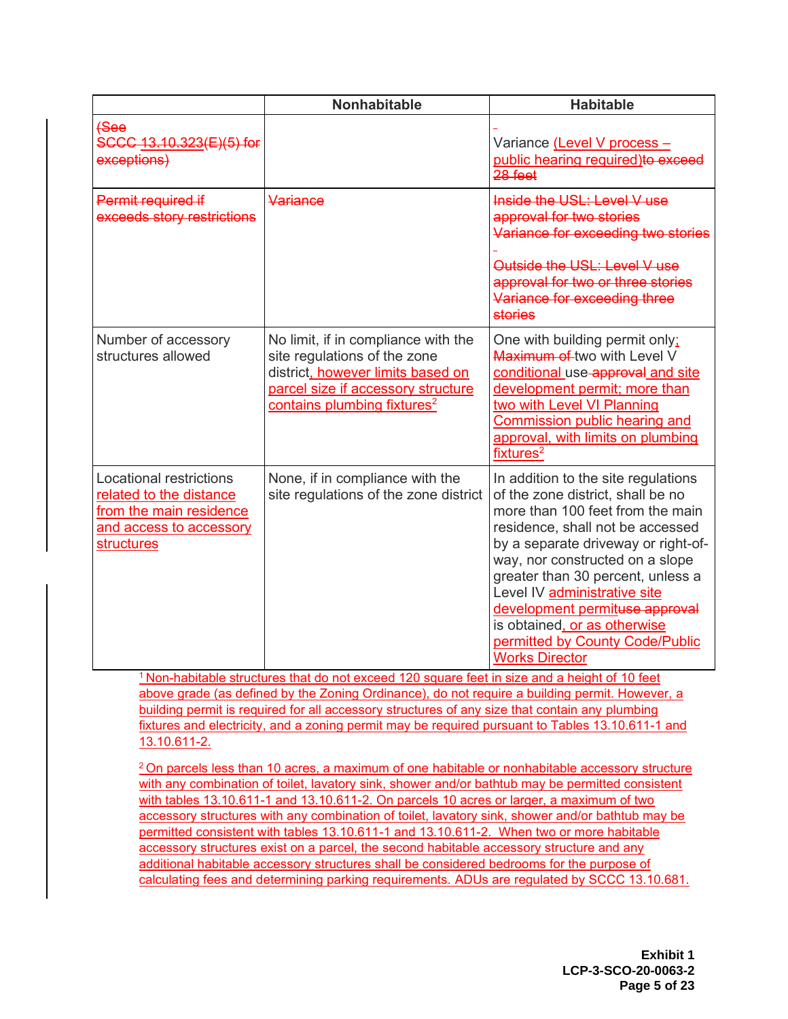|                                                                                                                        | <b>Nonhabitable</b>                                                                                                                                                                       | <b>Habitable</b>                                                                                                                                                                                                                                                                                                                                                                                                              |
|------------------------------------------------------------------------------------------------------------------------|-------------------------------------------------------------------------------------------------------------------------------------------------------------------------------------------|-------------------------------------------------------------------------------------------------------------------------------------------------------------------------------------------------------------------------------------------------------------------------------------------------------------------------------------------------------------------------------------------------------------------------------|
| $f$ See<br>SCCC 13.10.323(E)(5) for<br>exceptions)                                                                     |                                                                                                                                                                                           | Variance (Level V process -<br>public hearing required)to exceed<br>$28$ feet                                                                                                                                                                                                                                                                                                                                                 |
| Permit required if<br>exceeds story restrictions                                                                       | Variance                                                                                                                                                                                  | Inside the USL: Level V use<br>approval for two stories<br>Variance for exceeding two stories<br>Outside the USL: Level V use<br>approval for two or three stories<br>Variance for exceeding three<br><b>stories</b>                                                                                                                                                                                                          |
| Number of accessory<br>structures allowed                                                                              | No limit, if in compliance with the<br>site regulations of the zone<br>district, however limits based on<br>parcel size if accessory structure<br>contains plumbing fixtures <sup>2</sup> | One with building permit only;<br><b>Maximum of two with Level V</b><br>conditional use approval and site<br>development permit; more than<br>two with Level VI Planning<br><b>Commission public hearing and</b><br>approval, with limits on plumbing<br>fixtures <sup>2</sup>                                                                                                                                                |
| Locational restrictions<br>related to the distance<br>from the main residence<br>and access to accessory<br>structures | None, if in compliance with the<br>site regulations of the zone district                                                                                                                  | In addition to the site regulations<br>of the zone district, shall be no<br>more than 100 feet from the main<br>residence, shall not be accessed<br>by a separate driveway or right-of-<br>way, nor constructed on a slope<br>greater than 30 percent, unless a<br>Level IV administrative site<br>development permituse approval<br>is obtained, or as otherwise<br>permitted by County Code/Public<br><b>Works Director</b> |

<sup>1</sup> Non-habitable structures that do not exceed 120 square feet in size and a height of 10 feet above grade (as defined by the Zoning Ordinance), do not require a building permit. However, a building permit is required for all accessory structures of any size that contain any plumbing fixtures and electricity, and a zoning permit may be required pursuant to Tables 13.10.611-1 and 13.10.611-2.

<sup>2</sup>On parcels less than 10 acres, a maximum of one habitable or nonhabitable accessory structure with any combination of toilet, lavatory sink, shower and/or bathtub may be permitted consistent with tables 13.10.611-1 and 13.10.611-2. On parcels 10 acres or larger, a maximum of two accessory structures with any combination of toilet, lavatory sink, shower and/or bathtub may be permitted consistent with tables 13.10.611-1 and 13.10.611-2. When two or more habitable accessory structures exist on a parcel, the second habitable accessory structure and any additional habitable accessory structures shall be considered bedrooms for the purpose of calculating fees and determining parking requirements. ADUs are regulated by SCCC 13.10.681.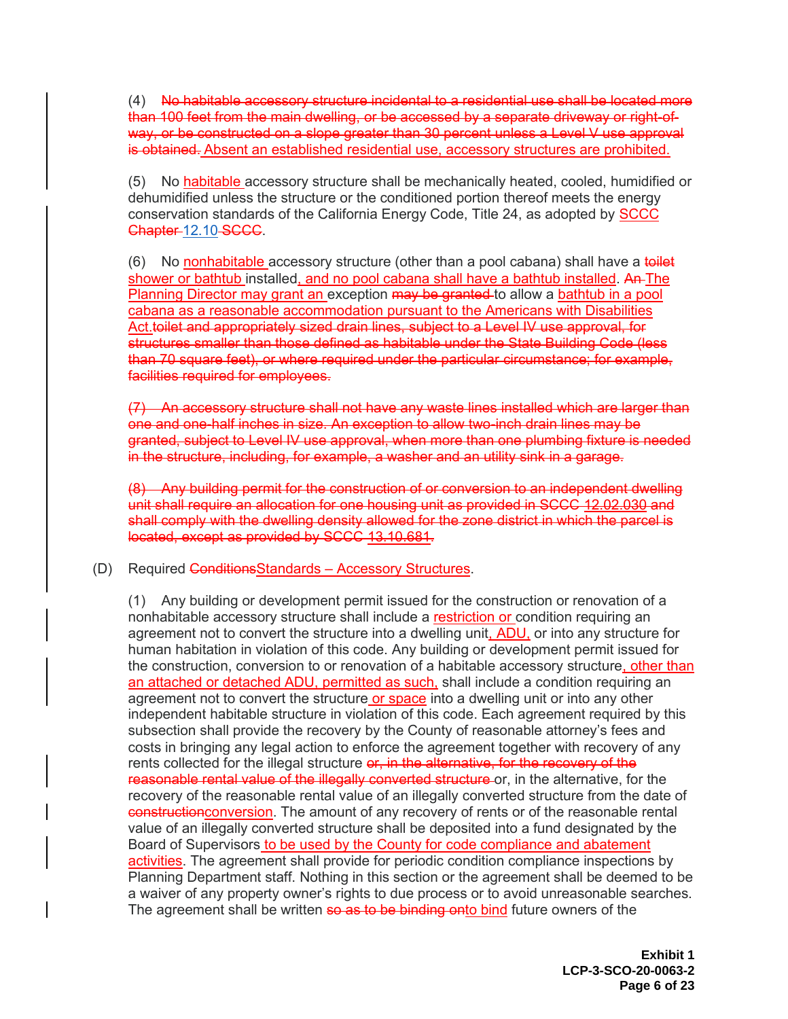(4) No habitable accessory structure incidental to a residential use shall be located more than 100 feet from the main dwelling, or be accessed by a separate driveway or right-ofway, or be constructed on a slope greater than 30 percent unless a Level V use approval is obtained. Absent an established residential use, accessory structures are prohibited.

(5) No habitable accessory structure shall be mechanically heated, cooled, humidified or dehumidified unless the structure or the conditioned portion thereof meets the energy conservation standards of the California Energy Code, Title 24, as adopted by SCCC Chapter-[12.10](https://www.codepublishing.com/CA/SantaCruzCounty/#!/SantaCruzCounty12/SantaCruzCounty1210.html#12.10)-SCCC.

(6) No nonhabitable accessory structure (other than a pool cabana) shall have a toilet shower or bathtub installed, and no pool cabana shall have a bathtub installed. An The Planning Director may grant an exception may be granted to allow a bathtub in a pool cabana as a reasonable accommodation pursuant to the Americans with Disabilities Act.toilet and appropriately sized drain lines, subject to a Level IV use approval, for structures smaller than those defined as habitable under the State Building Code (less than 70 square feet), or where required under the particular circumstance; for example, facilities required for employees.

(7) An accessory structure shall not have any waste lines installed which are larger than one and one-half inches in size. An exception to allow two-inch drain lines may be granted, subject to Level IV use approval, when more than one plumbing fixture is needed in the structure, including, for example, a washer and an utility sink in a garage.

(8) Any building permit for the construction of or conversion to an independent dwelling unit shall require an allocation for one housing unit as provided in SCCC 12.02.030 and shall comply with the dwelling density allowed for the zone district in which the parcel is located, except as provided by SCCC 13.10.681.

(D) Required ConditionsStandards – Accessory Structures.

(1) Any building or development permit issued for the construction or renovation of a nonhabitable accessory structure shall include a restriction or condition requiring an agreement not to convert the structure into a dwelling unit, ADU, or into any structure for human habitation in violation of this code. Any building or development permit issued for the construction, conversion to or renovation of a habitable accessory structure, other than an attached or detached ADU, permitted as such, shall include a condition requiring an agreement not to convert the structure or space into a dwelling unit or into any other independent habitable structure in violation of this code. Each agreement required by this subsection shall provide the recovery by the County of reasonable attorney's fees and costs in bringing any legal action to enforce the agreement together with recovery of any rents collected for the illegal structure or, in the alternative, for the recovery of the reasonable rental value of the illegally converted structure or, in the alternative, for the recovery of the reasonable rental value of an illegally converted structure from the date of constructionconversion. The amount of any recovery of rents or of the reasonable rental value of an illegally converted structure shall be deposited into a fund designated by the Board of Supervisors to be used by the County for code compliance and abatement activities. The agreement shall provide for periodic condition compliance inspections by Planning Department staff. Nothing in this section or the agreement shall be deemed to be a waiver of any property owner's rights to due process or to avoid unreasonable searches. The agreement shall be written so as to be binding onto bind future owners of the

> **Exhibit 1 LCP-3-SCO-20-0063-2 Page 6 of 23**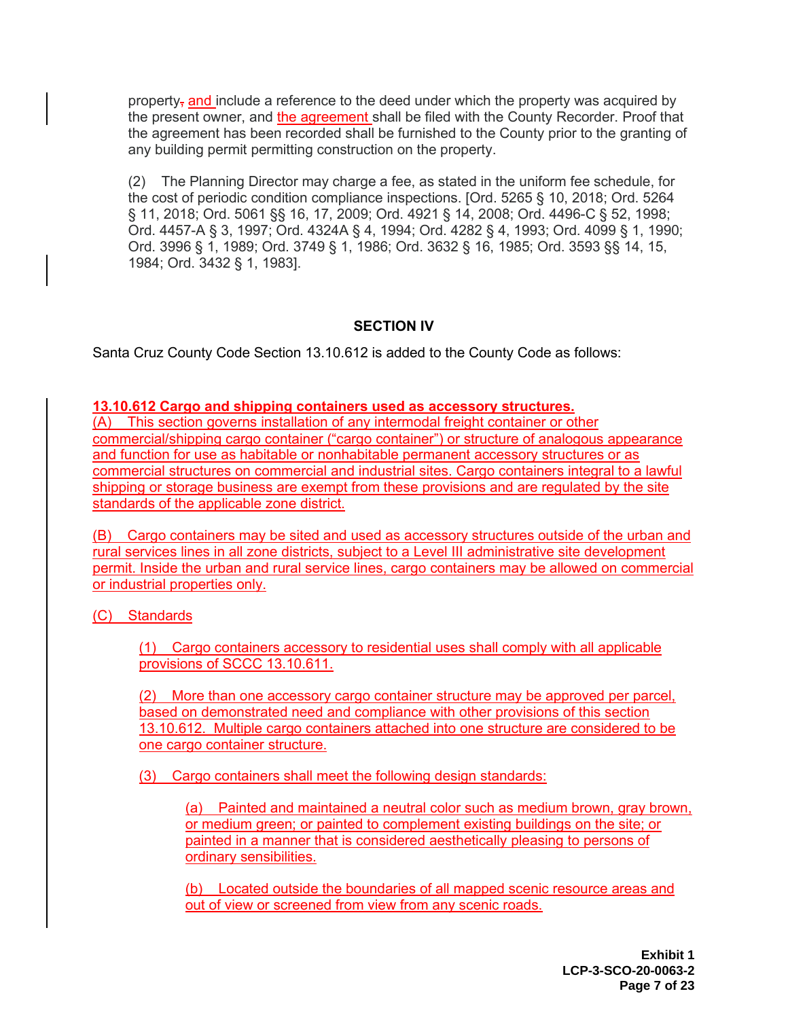property, and include a reference to the deed under which the property was acquired by the present owner, and the agreement shall be filed with the County Recorder. Proof that the agreement has been recorded shall be furnished to the County prior to the granting of any building permit permitting construction on the property.

(2) The Planning Director may charge a fee, as stated in the uniform fee schedule, for the cost of periodic condition compliance inspections. [Ord. 5265 § 10, 2018; Ord. 5264 § 11, 2018; Ord. 5061 §§ 16, 17, 2009; Ord. 4921 § 14, 2008; Ord. 4496-C § 52, 1998; Ord. 4457-A § 3, 1997; Ord. 4324A § 4, 1994; Ord. 4282 § 4, 1993; Ord. 4099 § 1, 1990; Ord. 3996 § 1, 1989; Ord. 3749 § 1, 1986; Ord. 3632 § 16, 1985; Ord. 3593 §§ 14, 15, 1984; Ord. 3432 § 1, 1983].

## **SECTION IV**

Santa Cruz County Code Section 13.10.612 is added to the County Code as follows:

**13.10.612 Cargo and shipping containers used as accessory structures.** 

(A) This section governs installation of any intermodal freight container or other commercial/shipping cargo container ("cargo container") or structure of analogous appearance and function for use as habitable or nonhabitable permanent accessory structures or as commercial structures on commercial and industrial sites. Cargo containers integral to a lawful shipping or storage business are exempt from these provisions and are regulated by the site standards of the applicable zone district.

(B) Cargo containers may be sited and used as accessory structures outside of the urban and rural services lines in all zone districts, subject to a Level III administrative site development permit. Inside the urban and rural service lines, cargo containers may be allowed on commercial or industrial properties only.

(C) Standards

(1) Cargo containers accessory to residential uses shall comply with all applicable provisions of SCCC 13.10.611.

(2) More than one accessory cargo container structure may be approved per parcel, based on demonstrated need and compliance with other provisions of this section 13.10.612. Multiple cargo containers attached into one structure are considered to be one cargo container structure.

(3) Cargo containers shall meet the following design standards:

(a) Painted and maintained a neutral color such as medium brown, gray brown, or medium green; or painted to complement existing buildings on the site; or painted in a manner that is considered aesthetically pleasing to persons of ordinary sensibilities.

(b) Located outside the boundaries of all mapped scenic resource areas and out of view or screened from view from any scenic roads.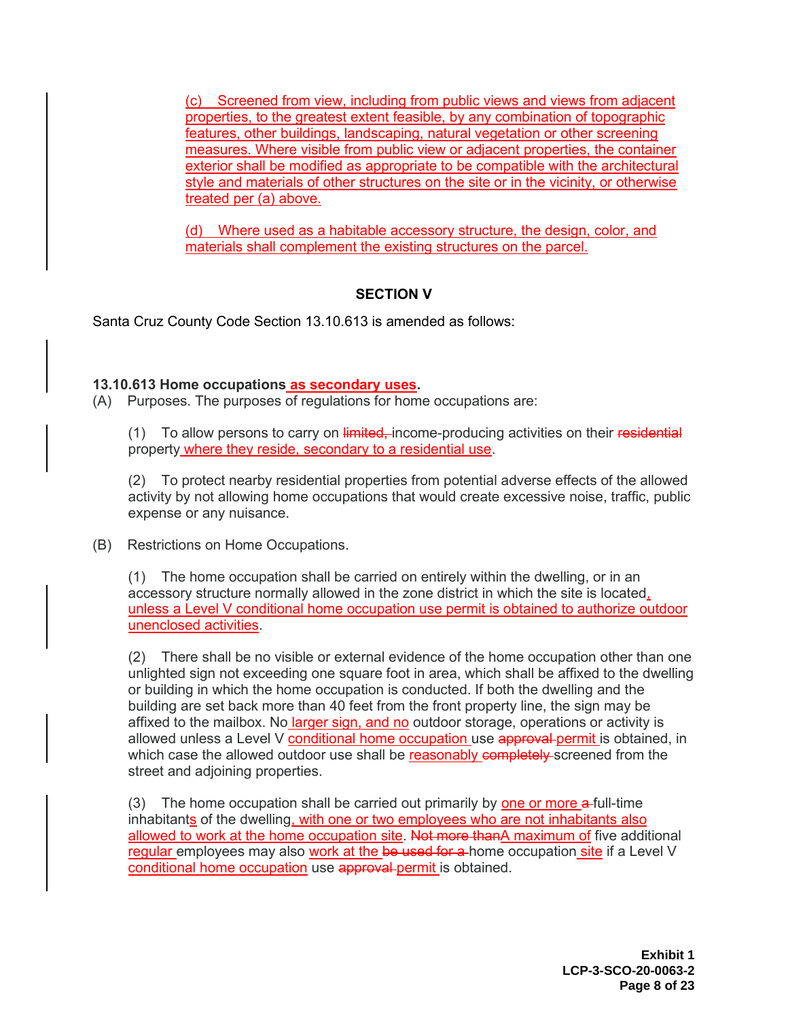(c) Screened from view, including from public views and views from adjacent properties, to the greatest extent feasible, by any combination of topographic features, other buildings, landscaping, natural vegetation or other screening measures. Where visible from public view or adjacent properties, the container exterior shall be modified as appropriate to be compatible with the architectural style and materials of other structures on the site or in the vicinity, or otherwise treated per (a) above.

(d) Where used as a habitable accessory structure, the design, color, and materials shall complement the existing structures on the parcel.

## **SECTION V**

Santa Cruz County Code Section 13.10.613 is amended as follows:

#### **13.10.613 Home occupations as secondary uses.**

(A) Purposes. The purposes of regulations for home occupations are:

(1) To allow persons to carry on limited, income-producing activities on their residential property where they reside, secondary to a residential use.

(2) To protect nearby residential properties from potential adverse effects of the allowed activity by not allowing home occupations that would create excessive noise, traffic, public expense or any nuisance.

(B) Restrictions on Home Occupations.

(1) The home occupation shall be carried on entirely within the dwelling, or in an accessory structure normally allowed in the zone district in which the site is located, unless a Level V conditional home occupation use permit is obtained to authorize outdoor unenclosed activities.

(2) There shall be no visible or external evidence of the home occupation other than one unlighted sign not exceeding one square foot in area, which shall be affixed to the dwelling or building in which the home occupation is conducted. If both the dwelling and the building are set back more than 40 feet from the front property line, the sign may be affixed to the mailbox. No larger sign, and no outdoor storage, operations or activity is allowed unless a Level V conditional home occupation use approval permit is obtained, in which case the allowed outdoor use shall be reasonably completely screened from the street and adjoining properties.

(3) The home occupation shall be carried out primarily by one or more a-full-time inhabitants of the dwelling, with one or two employees who are not inhabitants also allowed to work at the home occupation site. Not more thanA maximum of five additional regular employees may also work at the be used for a home occupation site if a Level V conditional home occupation use approval permit is obtained.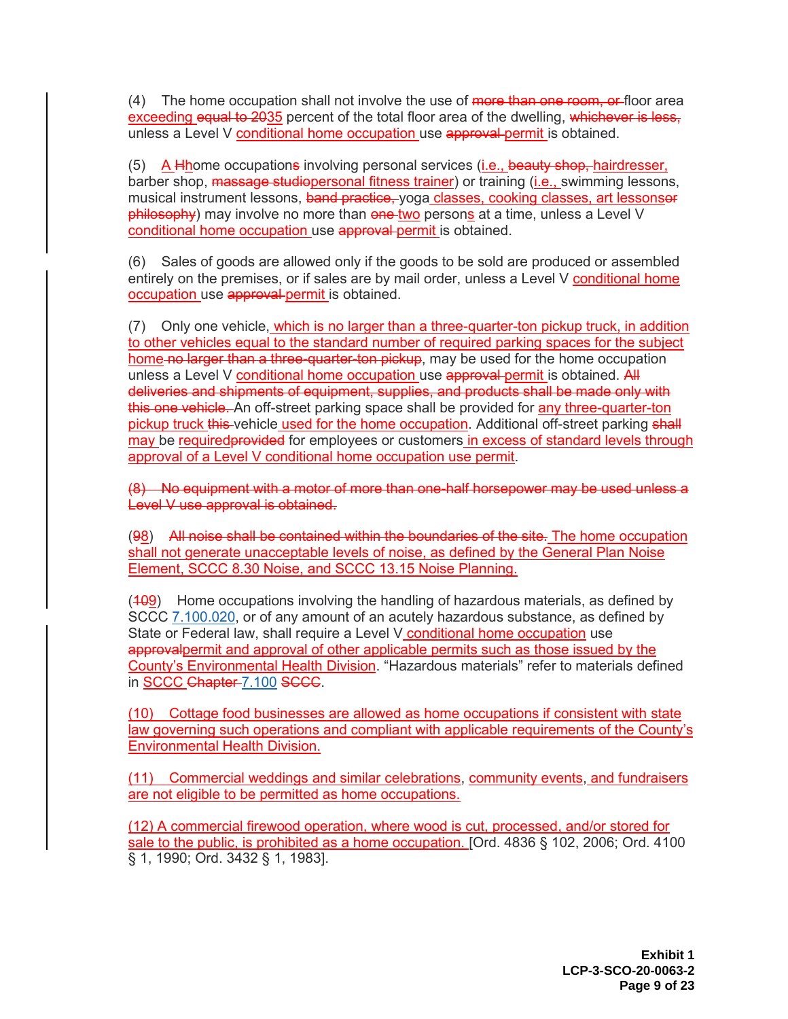(4) The home occupation shall not involve the use of more than one room, or floor area exceeding equal to 2035 percent of the total floor area of the dwelling, whichever is less, unless a Level V conditional home occupation use approval permit is obtained.

(5) A Hhome occupations involving personal services (i.e., beauty shop, hairdresser, barber shop, massage studiopersonal fitness trainer) or training (*i.e., swimming lessons,* musical instrument lessons, band practice, yoga classes, cooking classes, art lessonser philosophy) may involve no more than one two persons at a time, unless a Level V conditional home occupation use approval permit is obtained.

(6) Sales of goods are allowed only if the goods to be sold are produced or assembled entirely on the premises, or if sales are by mail order, unless a Level V conditional home occupation use approval permit is obtained.

(7) Only one vehicle, which is no larger than a three-quarter-ton pickup truck, in addition to other vehicles equal to the standard number of required parking spaces for the subject home no larger than a three-quarter-ton pickup, may be used for the home occupation unless a Level V conditional home occupation use approval permit is obtained. All deliveries and shipments of equipment, supplies, and products shall be made only with this one vehicle. An off-street parking space shall be provided for any three-quarter-ton pickup truck this vehicle used for the home occupation. Additional off-street parking shall may be required provided for employees or customers in excess of standard levels through approval of a Level V conditional home occupation use permit.

(8) No equipment with a motor of more than one-half horsepower may be used unless a Level V use approval is obtained.

(98) All noise shall be contained within the boundaries of the site. The home occupation shall not generate unacceptable levels of noise, as defined by the General Plan Noise Element, SCCC 8.30 Noise, and SCCC 13.15 Noise Planning.

 $(409)$  Home occupations involving the handling of hazardous materials, as defined by SCCC [7.100.020,](https://www.codepublishing.com/CA/SantaCruzCounty/#!/SantaCruzCounty07/SantaCruzCounty07100.html#7.100.020) or of any amount of an acutely hazardous substance, as defined by State or Federal law, shall require a Level V conditional home occupation use approvalpermit and approval of other applicable permits such as those issued by the County's Environmental Health Division. "Hazardous materials" refer to materials defined in SCCC Chapter [7.100](https://www.codepublishing.com/CA/SantaCruzCounty/#!/SantaCruzCounty07/SantaCruzCounty07100.html#7.100) SCCC.

(10) Cottage food businesses are allowed as home occupations if consistent with state law governing such operations and compliant with applicable requirements of the County's Environmental Health Division.

(11) Commercial weddings and similar celebrations, community events, and fundraisers are not eligible to be permitted as home occupations.

(12) A commercial firewood operation, where wood is cut, processed, and/or stored for sale to the public, is prohibited as a home occupation. [Ord. 4836 § 102, 2006; Ord. 4100 § 1, 1990; Ord. 3432 § 1, 1983].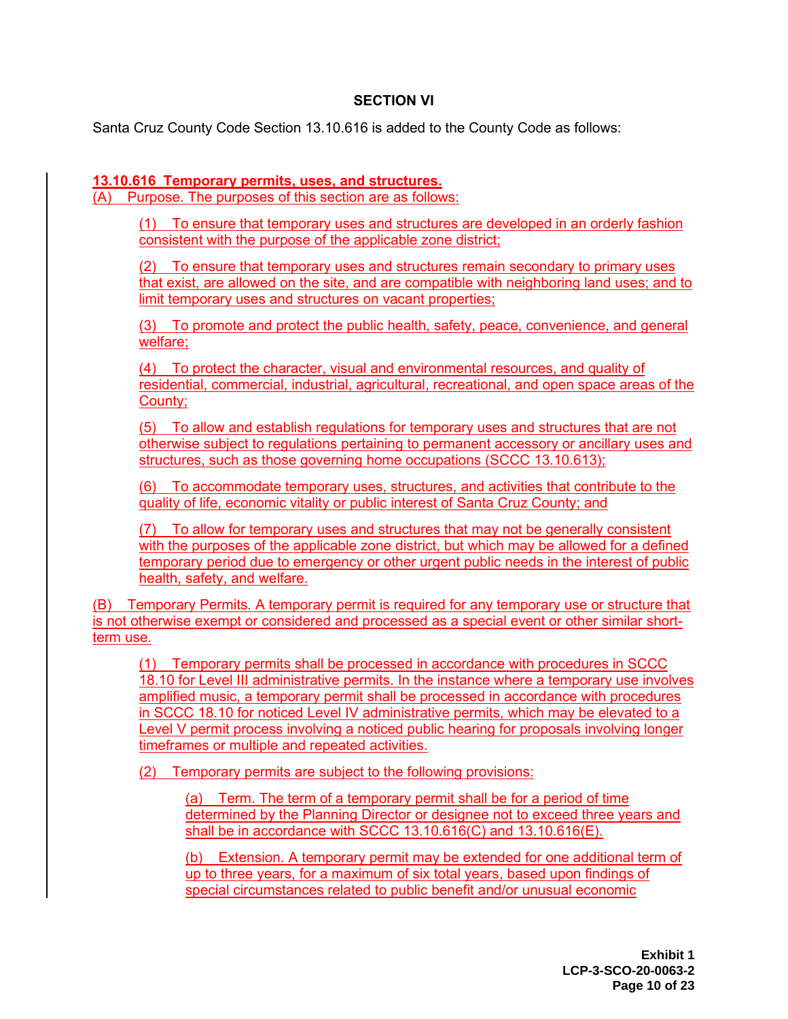## **SECTION VI**

Santa Cruz County Code Section 13.10.616 is added to the County Code as follows:

## **13.10.616 Temporary permits, uses, and structures.**

(A) Purpose. The purposes of this section are as follows:

(1) To ensure that temporary uses and structures are developed in an orderly fashion consistent with the purpose of the applicable zone district;

(2) To ensure that temporary uses and structures remain secondary to primary uses that exist, are allowed on the site, and are compatible with neighboring land uses; and to limit temporary uses and structures on vacant properties;

(3) To promote and protect the public health, safety, peace, convenience, and general welfare;

(4) To protect the character, visual and environmental resources, and quality of residential, commercial, industrial, agricultural, recreational, and open space areas of the County;

(5) To allow and establish regulations for temporary uses and structures that are not otherwise subject to regulations pertaining to permanent accessory or ancillary uses and structures, such as those governing home occupations (SCCC 13.10.613);

(6) To accommodate temporary uses, structures, and activities that contribute to the quality of life, economic vitality or public interest of Santa Cruz County; and

(7) To allow for temporary uses and structures that may not be generally consistent with the purposes of the applicable zone district, but which may be allowed for a defined temporary period due to emergency or other urgent public needs in the interest of public health, safety, and welfare.

(B) Temporary Permits. A temporary permit is required for any temporary use or structure that is not otherwise exempt or considered and processed as a special event or other similar shortterm use.

(1) Temporary permits shall be processed in accordance with procedures in SCCC 18.10 for Level III administrative permits. In the instance where a temporary use involves amplified music, a temporary permit shall be processed in accordance with procedures in SCCC 18.10 for noticed Level IV administrative permits, which may be elevated to a Level V permit process involving a noticed public hearing for proposals involving longer timeframes or multiple and repeated activities.

(2) Temporary permits are subject to the following provisions:

(a) Term. The term of a temporary permit shall be for a period of time determined by the Planning Director or designee not to exceed three years and shall be in accordance with SCCC 13.10.616(C) and 13.10.616(E).

(b) Extension. A temporary permit may be extended for one additional term of up to three years, for a maximum of six total years, based upon findings of special circumstances related to public benefit and/or unusual economic

> **Exhibit 1 LCP-3-SCO-20-0063-2 Page 10 of 23**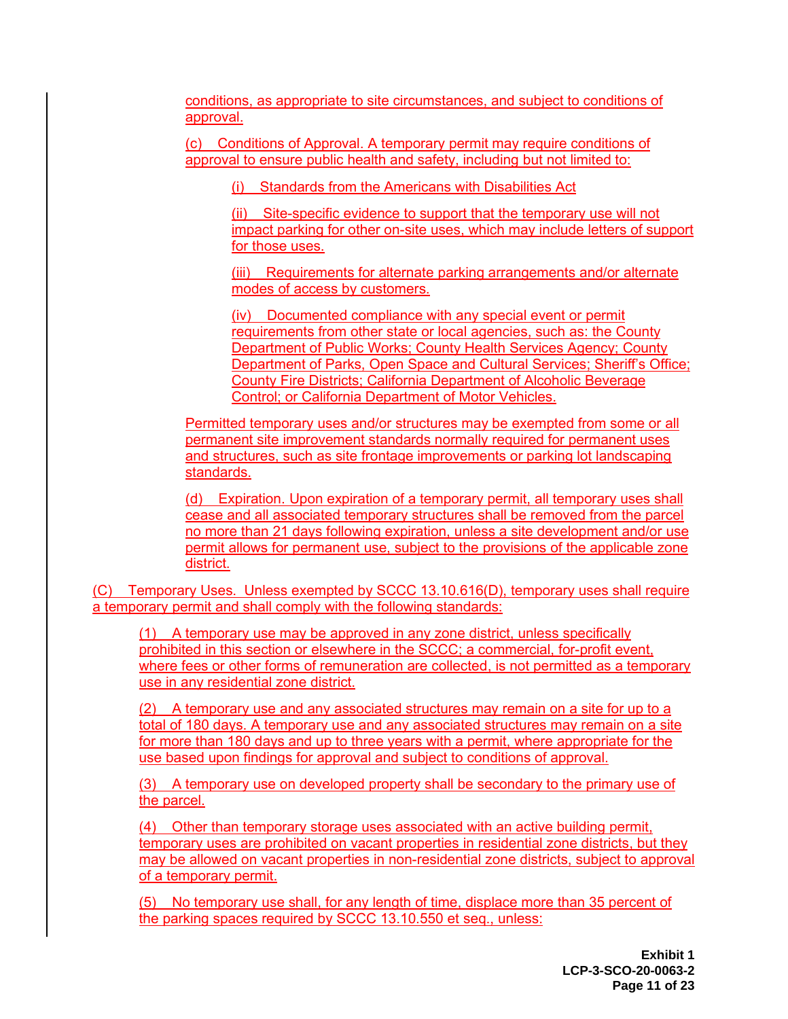conditions, as appropriate to site circumstances, and subject to conditions of approval.

(c) Conditions of Approval. A temporary permit may require conditions of approval to ensure public health and safety, including but not limited to:

(i) Standards from the Americans with Disabilities Act

(ii) Site-specific evidence to support that the temporary use will not impact parking for other on-site uses, which may include letters of support for those uses.

(iii) Requirements for alternate parking arrangements and/or alternate modes of access by customers.

(iv) Documented compliance with any special event or permit requirements from other state or local agencies, such as: the County Department of Public Works; County Health Services Agency; County Department of Parks, Open Space and Cultural Services; Sheriff's Office; County Fire Districts; California Department of Alcoholic Beverage Control; or California Department of Motor Vehicles.

Permitted temporary uses and/or structures may be exempted from some or all permanent site improvement standards normally required for permanent uses and structures, such as site frontage improvements or parking lot landscaping standards.

(d) Expiration. Upon expiration of a temporary permit, all temporary uses shall cease and all associated temporary structures shall be removed from the parcel no more than 21 days following expiration, unless a site development and/or use permit allows for permanent use, subject to the provisions of the applicable zone district.

(C) Temporary Uses. Unless exempted by SCCC 13.10.616(D), temporary uses shall require a temporary permit and shall comply with the following standards:

(1) A temporary use may be approved in any zone district, unless specifically prohibited in this section or elsewhere in the SCCC; a commercial, for-profit event, where fees or other forms of remuneration are collected, is not permitted as a temporary use in any residential zone district.

(2) A temporary use and any associated structures may remain on a site for up to a total of 180 days. A temporary use and any associated structures may remain on a site for more than 180 days and up to three years with a permit, where appropriate for the use based upon findings for approval and subject to conditions of approval.

(3) A temporary use on developed property shall be secondary to the primary use of the parcel.

(4) Other than temporary storage uses associated with an active building permit, temporary uses are prohibited on vacant properties in residential zone districts, but they may be allowed on vacant properties in non-residential zone districts, subject to approval of a temporary permit.

(5) No temporary use shall, for any length of time, displace more than 35 percent of the parking spaces required by SCCC 13.10.550 et seq., unless: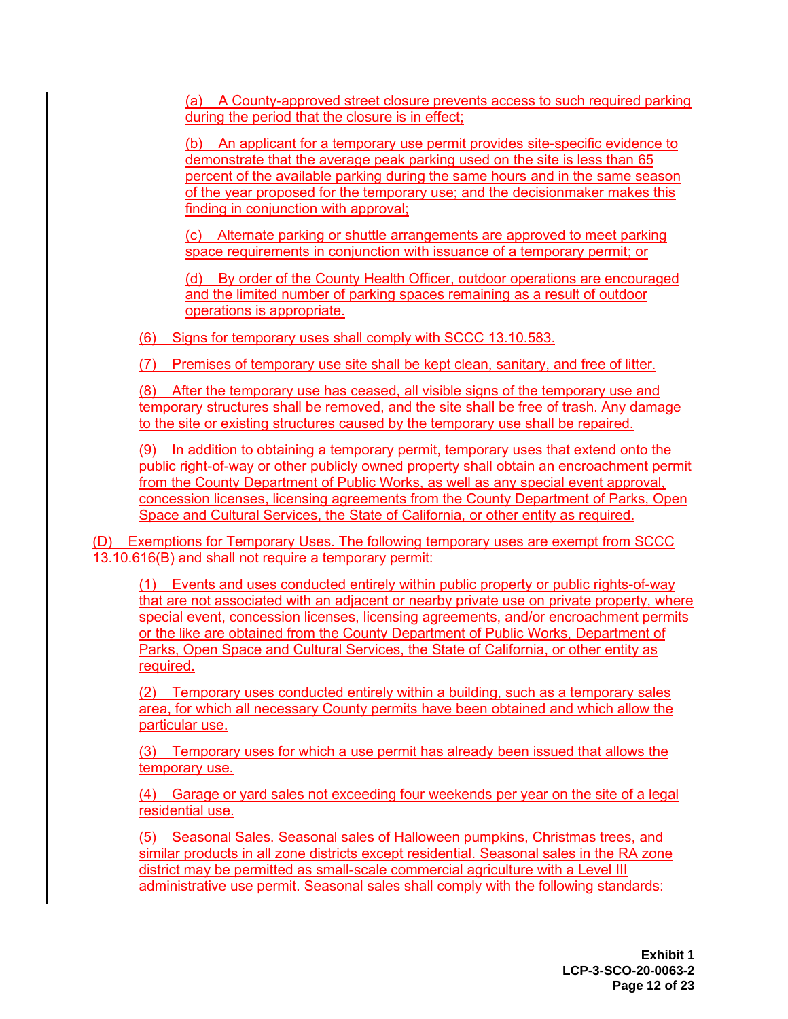(a) A County-approved street closure prevents access to such required parking during the period that the closure is in effect;

(b) An applicant for a temporary use permit provides site-specific evidence to demonstrate that the average peak parking used on the site is less than 65 percent of the available parking during the same hours and in the same season of the year proposed for the temporary use; and the decisionmaker makes this finding in conjunction with approval;

(c) Alternate parking or shuttle arrangements are approved to meet parking space requirements in conjunction with issuance of a temporary permit; or

(d) By order of the County Health Officer, outdoor operations are encouraged and the limited number of parking spaces remaining as a result of outdoor operations is appropriate.

(6) Signs for temporary uses shall comply with SCCC 13.10.583.

(7) Premises of temporary use site shall be kept clean, sanitary, and free of litter.

After the temporary use has ceased, all visible signs of the temporary use and temporary structures shall be removed, and the site shall be free of trash. Any damage to the site or existing structures caused by the temporary use shall be repaired.

(9) In addition to obtaining a temporary permit, temporary uses that extend onto the public right-of-way or other publicly owned property shall obtain an encroachment permit from the County Department of Public Works, as well as any special event approval, concession licenses, licensing agreements from the County Department of Parks, Open Space and Cultural Services, the State of California, or other entity as required.

(D) Exemptions for Temporary Uses. The following temporary uses are exempt from SCCC 13.10.616(B) and shall not require a temporary permit:

(1) Events and uses conducted entirely within public property or public rights-of-way that are not associated with an adjacent or nearby private use on private property, where special event, concession licenses, licensing agreements, and/or encroachment permits or the like are obtained from the County Department of Public Works, Department of Parks, Open Space and Cultural Services, the State of California, or other entity as required.

(2) Temporary uses conducted entirely within a building, such as a temporary sales area, for which all necessary County permits have been obtained and which allow the particular use.

(3) Temporary uses for which a use permit has already been issued that allows the temporary use.

(4) Garage or yard sales not exceeding four weekends per year on the site of a legal residential use.

(5) Seasonal Sales. Seasonal sales of Halloween pumpkins, Christmas trees, and similar products in all zone districts except residential. Seasonal sales in the RA zone district may be permitted as small-scale commercial agriculture with a Level III administrative use permit. Seasonal sales shall comply with the following standards:

> **Exhibit 1 LCP-3-SCO-20-0063-2 Page 12 of 23**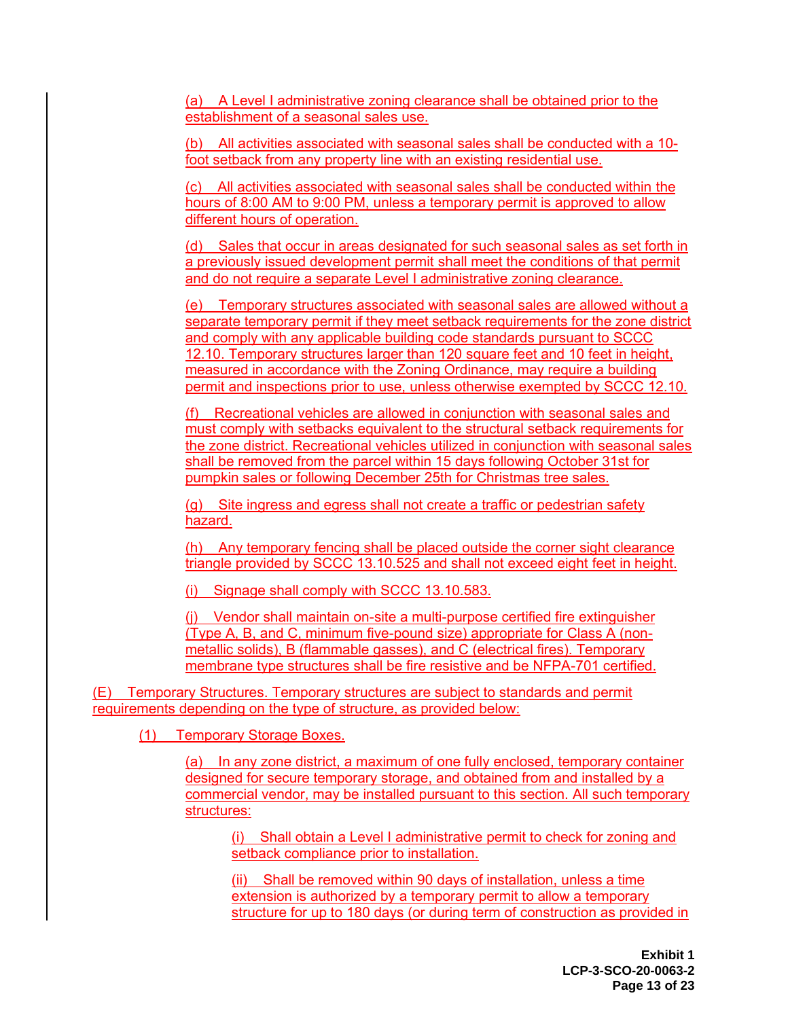(a) A Level I administrative zoning clearance shall be obtained prior to the establishment of a seasonal sales use.

(b) All activities associated with seasonal sales shall be conducted with a 10 foot setback from any property line with an existing residential use.

(c) All activities associated with seasonal sales shall be conducted within the hours of 8:00 AM to 9:00 PM, unless a temporary permit is approved to allow different hours of operation.

(d) Sales that occur in areas designated for such seasonal sales as set forth in a previously issued development permit shall meet the conditions of that permit and do not require a separate Level I administrative zoning clearance.

(e) Temporary structures associated with seasonal sales are allowed without a separate temporary permit if they meet setback requirements for the zone district and comply with any applicable building code standards pursuant to SCCC 12.10. Temporary structures larger than 120 square feet and 10 feet in height, measured in accordance with the Zoning Ordinance, may require a building permit and inspections prior to use, unless otherwise exempted by SCCC 12.10.

(f) Recreational vehicles are allowed in conjunction with seasonal sales and must comply with setbacks equivalent to the structural setback requirements for the zone district. Recreational vehicles utilized in conjunction with seasonal sales shall be removed from the parcel within 15 days following October 31st for pumpkin sales or following December 25th for Christmas tree sales.

(g) Site ingress and egress shall not create a traffic or pedestrian safety hazard.

(h) Any temporary fencing shall be placed outside the corner sight clearance triangle provided by SCCC 13.10.525 and shall not exceed eight feet in height.

(i) Signage shall comply with SCCC 13.10.583.

(j) Vendor shall maintain on-site a multi-purpose certified fire extinguisher (Type A, B, and C, minimum five-pound size) appropriate for Class A (nonmetallic solids), B (flammable gasses), and C (electrical fires). Temporary membrane type structures shall be fire resistive and be NFPA-701 certified.

(E) Temporary Structures. Temporary structures are subject to standards and permit requirements depending on the type of structure, as provided below:

(1) Temporary Storage Boxes.

(a) In any zone district, a maximum of one fully enclosed, temporary container designed for secure temporary storage, and obtained from and installed by a commercial vendor, may be installed pursuant to this section. All such temporary structures:

(i) Shall obtain a Level I administrative permit to check for zoning and setback compliance prior to installation.

(ii) Shall be removed within 90 days of installation, unless a time extension is authorized by a temporary permit to allow a temporary structure for up to 180 days (or during term of construction as provided in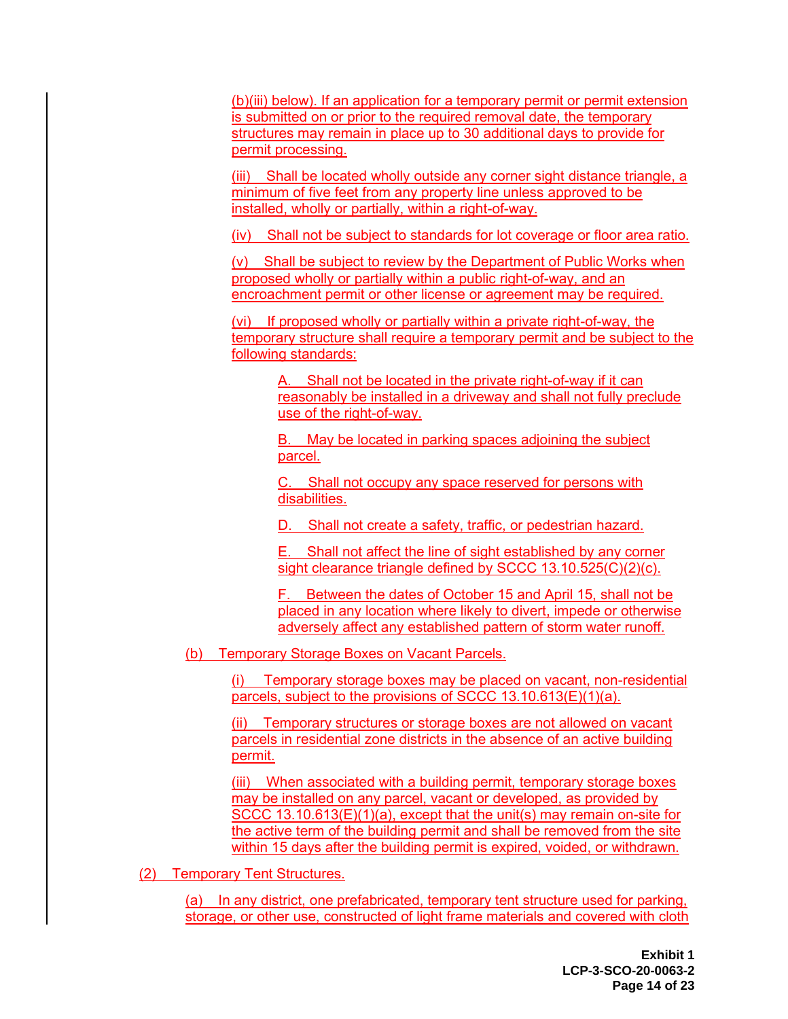(b)(iii) below). If an application for a temporary permit or permit extension is submitted on or prior to the required removal date, the temporary structures may remain in place up to 30 additional days to provide for permit processing.

(iii) Shall be located wholly outside any corner sight distance triangle, a minimum of five feet from any property line unless approved to be installed, wholly or partially, within a right-of-way.

(iv) Shall not be subject to standards for lot coverage or floor area ratio.

(v) Shall be subject to review by the Department of Public Works when proposed wholly or partially within a public right-of-way, and an encroachment permit or other license or agreement may be required.

(vi) If proposed wholly or partially within a private right-of-way, the temporary structure shall require a temporary permit and be subject to the following standards:

A. Shall not be located in the private right-of-way if it can reasonably be installed in a driveway and shall not fully preclude use of the right-of-way.

B. May be located in parking spaces adjoining the subject parcel.

C. Shall not occupy any space reserved for persons with disabilities.

D. Shall not create a safety, traffic, or pedestrian hazard.

E. Shall not affect the line of sight established by any corner sight clearance triangle defined by SCCC 13.10.525(C)(2)(c).

F. Between the dates of October 15 and April 15, shall not be placed in any location where likely to divert, impede or otherwise adversely affect any established pattern of storm water runoff.

(b) Temporary Storage Boxes on Vacant Parcels.

(i) Temporary storage boxes may be placed on vacant, non-residential parcels, subject to the provisions of SCCC 13.10.613(E)(1)(a).

(ii) Temporary structures or storage boxes are not allowed on vacant parcels in residential zone districts in the absence of an active building permit.

(iii) When associated with a building permit, temporary storage boxes may be installed on any parcel, vacant or developed, as provided by SCCC 13.10.613(E)(1)(a), except that the unit(s) may remain on-site for the active term of the building permit and shall be removed from the site within 15 days after the building permit is expired, voided, or withdrawn.

(2) Temporary Tent Structures.

(a) In any district, one prefabricated, temporary tent structure used for parking, storage, or other use, constructed of light frame materials and covered with cloth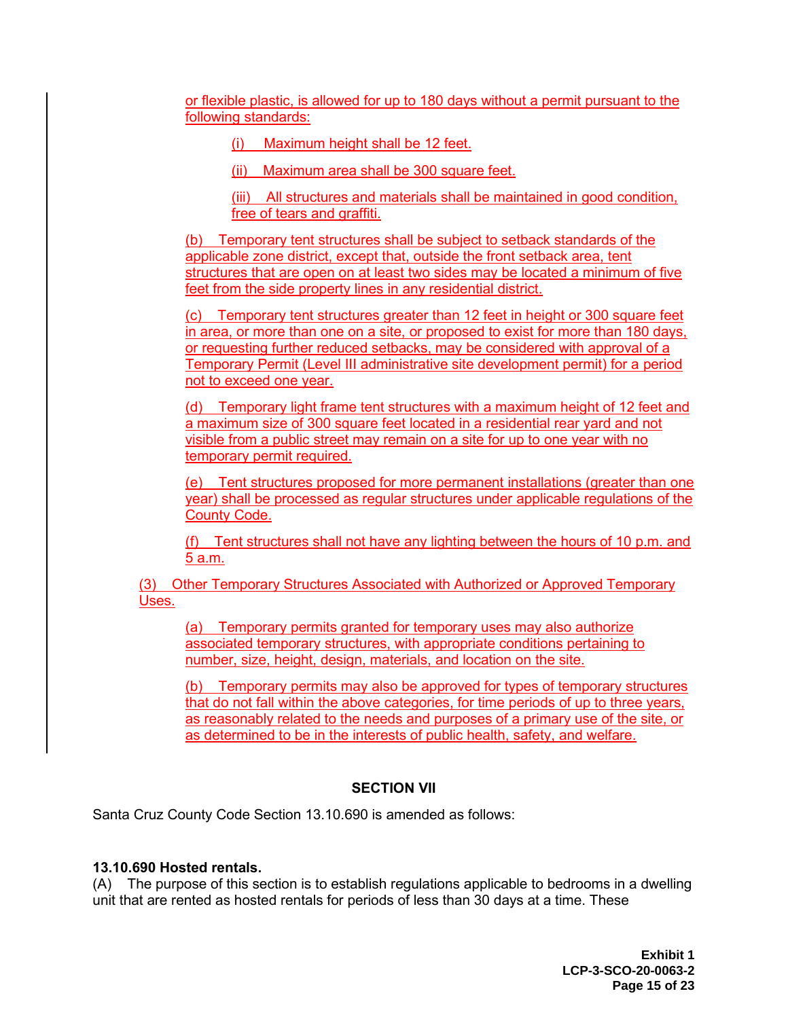or flexible plastic, is allowed for up to 180 days without a permit pursuant to the following standards:

(i) Maximum height shall be 12 feet.

(ii) Maximum area shall be 300 square feet.

(iii) All structures and materials shall be maintained in good condition, free of tears and graffiti.

(b) Temporary tent structures shall be subject to setback standards of the applicable zone district, except that, outside the front setback area, tent structures that are open on at least two sides may be located a minimum of five feet from the side property lines in any residential district.

(c) Temporary tent structures greater than 12 feet in height or 300 square feet in area, or more than one on a site, or proposed to exist for more than 180 days, or requesting further reduced setbacks, may be considered with approval of a Temporary Permit (Level III administrative site development permit) for a period not to exceed one year.

(d) Temporary light frame tent structures with a maximum height of 12 feet and a maximum size of 300 square feet located in a residential rear yard and not visible from a public street may remain on a site for up to one year with no temporary permit required.

(e) Tent structures proposed for more permanent installations (greater than one year) shall be processed as regular structures under applicable regulations of the County Code.

(f) Tent structures shall not have any lighting between the hours of 10 p.m. and 5 a.m.

(3) Other Temporary Structures Associated with Authorized or Approved Temporary Uses.

(a) Temporary permits granted for temporary uses may also authorize associated temporary structures, with appropriate conditions pertaining to number, size, height, design, materials, and location on the site.

(b) Temporary permits may also be approved for types of temporary structures that do not fall within the above categories, for time periods of up to three years, as reasonably related to the needs and purposes of a primary use of the site, or as determined to be in the interests of public health, safety, and welfare.

## **SECTION VII**

Santa Cruz County Code Section 13.10.690 is amended as follows:

## **13.10.690 Hosted rentals.**

(A) The purpose of this section is to establish regulations applicable to bedrooms in a dwelling unit that are rented as hosted rentals for periods of less than 30 days at a time. These

> **Exhibit 1 LCP-3-SCO-20-0063-2 Page 15 of 23**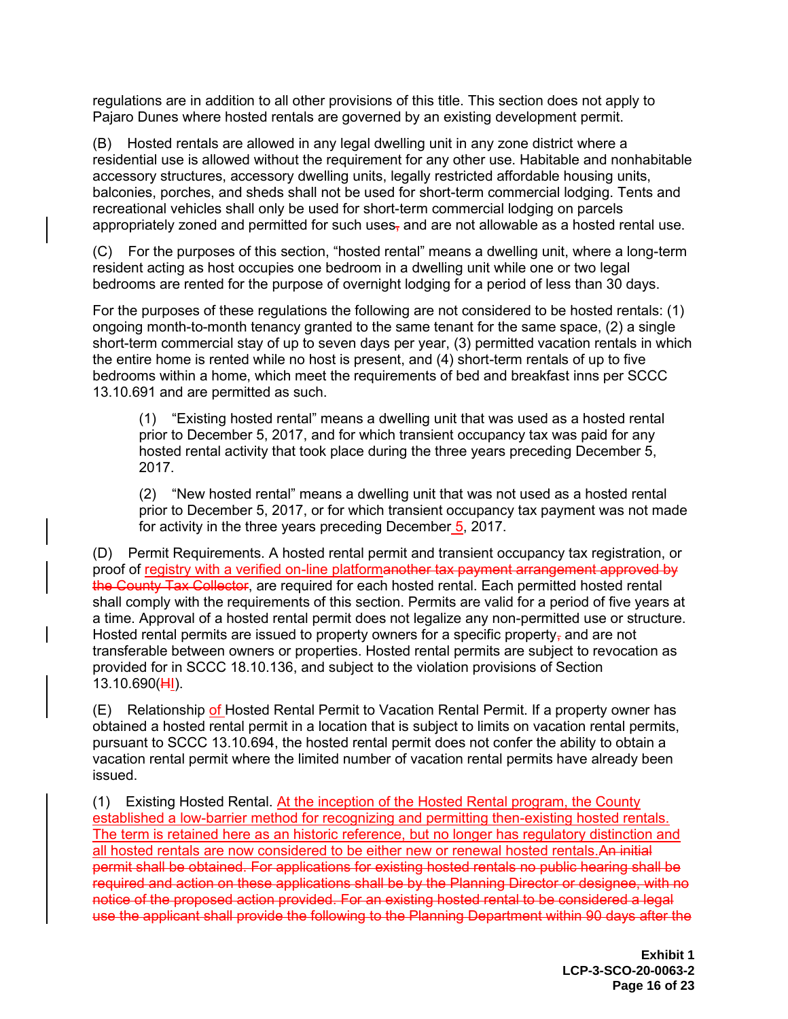regulations are in addition to all other provisions of this title. This section does not apply to Pajaro Dunes where hosted rentals are governed by an existing development permit.

(B) Hosted rentals are allowed in any legal dwelling unit in any zone district where a residential use is allowed without the requirement for any other use. Habitable and nonhabitable accessory structures, accessory dwelling units, legally restricted affordable housing units, balconies, porches, and sheds shall not be used for short-term commercial lodging. Tents and recreational vehicles shall only be used for short-term commercial lodging on parcels appropriately zoned and permitted for such uses, and are not allowable as a hosted rental use.

(C) For the purposes of this section, "hosted rental" means a dwelling unit, where a long-term resident acting as host occupies one bedroom in a dwelling unit while one or two legal bedrooms are rented for the purpose of overnight lodging for a period of less than 30 days.

For the purposes of these regulations the following are not considered to be hosted rentals: (1) ongoing month-to-month tenancy granted to the same tenant for the same space, (2) a single short-term commercial stay of up to seven days per year, (3) permitted vacation rentals in which the entire home is rented while no host is present, and (4) short-term rentals of up to five bedrooms within a home, which meet the requirements of bed and breakfast inns per SCCC 13.10.691 and are permitted as such.

(1) "Existing hosted rental" means a dwelling unit that was used as a hosted rental prior to December 5, 2017, and for which transient occupancy tax was paid for any hosted rental activity that took place during the three years preceding December 5, 2017.

(2) "New hosted rental" means a dwelling unit that was not used as a hosted rental prior to December 5, 2017, or for which transient occupancy tax payment was not made for activity in the three years preceding December 5, 2017.

(D) Permit Requirements. A hosted rental permit and transient occupancy tax registration, or proof of registry with a verified on-line platformanother tax payment arrangement approved by the County Tax Collector, are required for each hosted rental. Each permitted hosted rental shall comply with the requirements of this section. Permits are valid for a period of five years at a time. Approval of a hosted rental permit does not legalize any non-permitted use or structure. Hosted rental permits are issued to property owners for a specific property<sub>r</sub> and are not transferable between owners or properties. Hosted rental permits are subject to revocation as provided for in SCCC 18.10.136, and subject to the violation provisions of Section 13.10.690(HI).

(E) Relationship of Hosted Rental Permit to Vacation Rental Permit. If a property owner has obtained a hosted rental permit in a location that is subject to limits on vacation rental permits, pursuant to SCCC 13.10.694, the hosted rental permit does not confer the ability to obtain a vacation rental permit where the limited number of vacation rental permits have already been issued.

(1) Existing Hosted Rental. At the inception of the Hosted Rental program, the County established a low-barrier method for recognizing and permitting then-existing hosted rentals. The term is retained here as an historic reference, but no longer has regulatory distinction and all hosted rentals are now considered to be either new or renewal hosted rentals. An initial permit shall be obtained. For applications for existing hosted rentals no public hearing shall be required and action on these applications shall be by the Planning Director or designee, with no notice of the proposed action provided. For an existing hosted rental to be considered a legal use the applicant shall provide the following to the Planning Department within 90 days after the

> **Exhibit 1 LCP-3-SCO-20-0063-2 Page 16 of 23**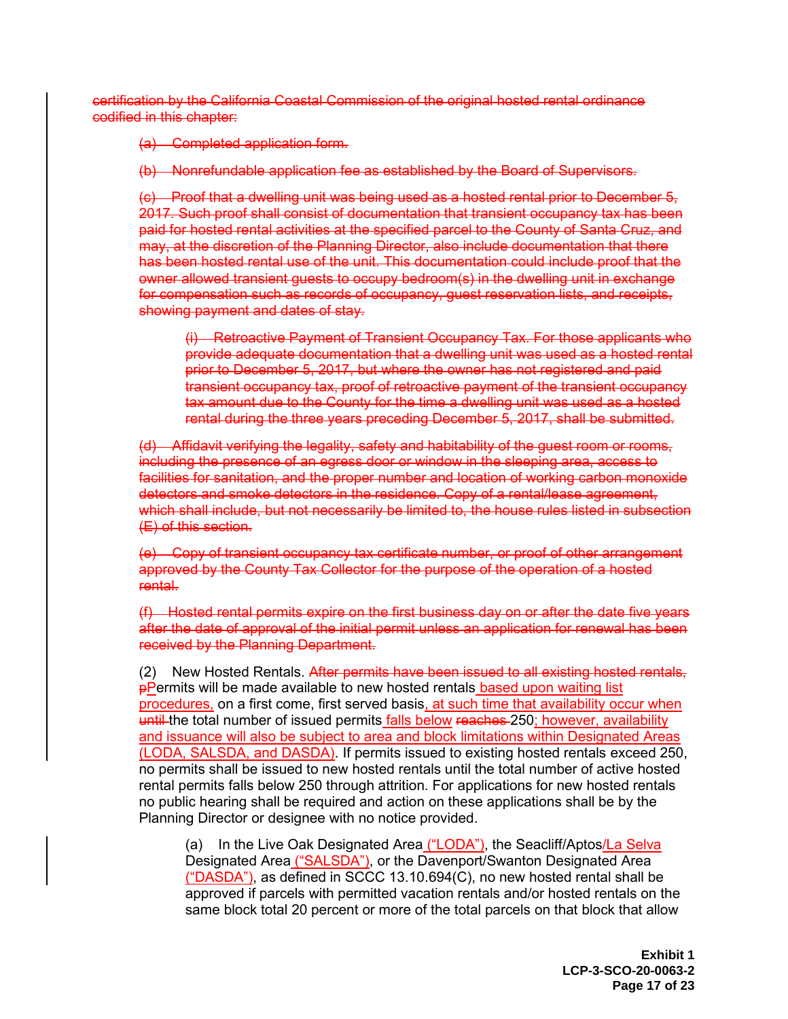certification by the California Coastal Commission of the original hosted rental ordinance codified in this chapter:

(a) Completed application form.

(b) Nonrefundable application fee as established by the Board of Supervisors.

(c) Proof that a dwelling unit was being used as a hosted rental prior to December 5, 2017. Such proof shall consist of documentation that transient occupancy tax has been paid for hosted rental activities at the specified parcel to the County of Santa Cruz, and may, at the discretion of the Planning Director, also include documentation that there has been hosted rental use of the unit. This documentation could include proof that the owner allowed transient guests to occupy bedroom(s) in the dwelling unit in exchange for compensation such as records of occupancy, guest reservation lists, and receipts, showing payment and dates of stay.

(i) Retroactive Payment of Transient Occupancy Tax. For those applicants who provide adequate documentation that a dwelling unit was used as a hosted rental prior to December 5, 2017, but where the owner has not registered and paid transient occupancy tax, proof of retroactive payment of the transient occupancy tax amount due to the County for the time a dwelling unit was used as a hosted rental during the three years preceding December 5, 2017, shall be submitted.

(d) Affidavit verifying the legality, safety and habitability of the guest room or rooms, including the presence of an egress door or window in the sleeping area, access to facilities for sanitation, and the proper number and location of working carbon monoxide detectors and smoke detectors in the residence. Copy of a rental/lease agreement, which shall include, but not necessarily be limited to, the house rules listed in subsection (E) of this section.

(e) Copy of transient occupancy tax certificate number, or proof of other arrangement approved by the County Tax Collector for the purpose of the operation of a hosted rental.

(f) Hosted rental permits expire on the first business day on or after the date five years after the date of approval of the initial permit unless an application for renewal has been received by the Planning Department.

(2) New Hosted Rentals. After permits have been issued to all existing hosted rentals, **pPermits will be made available to new hosted rentals based upon waiting list** procedures, on a first come, first served basis, at such time that availability occur when until the total number of issued permits falls below reaches 250; however, availability and issuance will also be subject to area and block limitations within Designated Areas (LODA, SALSDA, and DASDA). If permits issued to existing hosted rentals exceed 250, no permits shall be issued to new hosted rentals until the total number of active hosted rental permits falls below 250 through attrition. For applications for new hosted rentals no public hearing shall be required and action on these applications shall be by the Planning Director or designee with no notice provided.

(a) In the Live Oak Designated Area ("LODA"), the Seacliff/Aptos/La Selva Designated Area ("SALSDA"), or the Davenport/Swanton Designated Area  $("DASDA")$ , as defined in SCCC 13.10.694(C), no new hosted rental shall be approved if parcels with permitted vacation rentals and/or hosted rentals on the same block total 20 percent or more of the total parcels on that block that allow

> **Exhibit 1 LCP-3-SCO-20-0063-2 Page 17 of 23**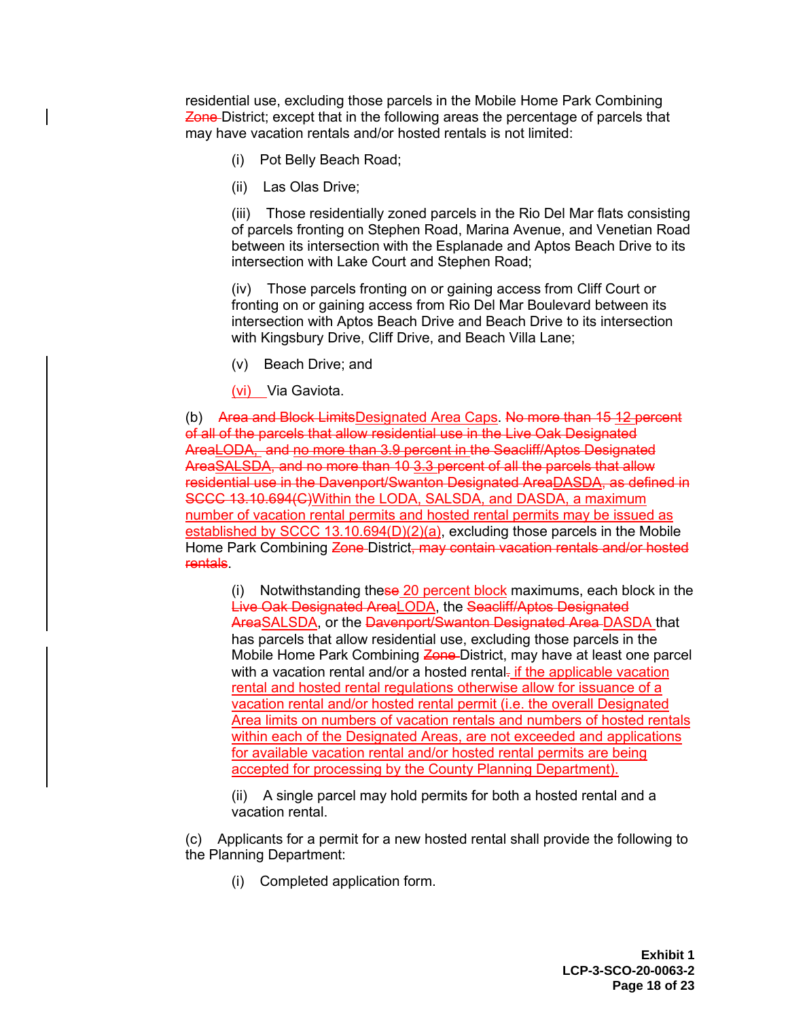residential use, excluding those parcels in the Mobile Home Park Combining **Zone-District; except that in the following areas the percentage of parcels that** may have vacation rentals and/or hosted rentals is not limited:

- (i) Pot Belly Beach Road;
- (ii) Las Olas Drive;

(iii) Those residentially zoned parcels in the Rio Del Mar flats consisting of parcels fronting on Stephen Road, Marina Avenue, and Venetian Road between its intersection with the Esplanade and Aptos Beach Drive to its intersection with Lake Court and Stephen Road;

(iv) Those parcels fronting on or gaining access from Cliff Court or fronting on or gaining access from Rio Del Mar Boulevard between its intersection with Aptos Beach Drive and Beach Drive to its intersection with Kingsbury Drive, Cliff Drive, and Beach Villa Lane;

(v) Beach Drive; and

(vi) Via Gaviota.

(b) Area and Block LimitsDesignated Area Caps. No more than 15 12 percent of all of the parcels that allow residential use in the Live Oak Designated AreaLODA, and no more than 3.9 percent in the Seacliff/Aptos Designated AreaSALSDA, and no more than 10 3.3 percent of all the parcels that allow residential use in the Davenport/Swanton Designated AreaDASDA, as defined in SCCC 13.10.694(C) Within the LODA, SALSDA, and DASDA, a maximum number of vacation rental permits and hosted rental permits may be issued as established by SCCC 13.10.694(D)(2)(a), excluding those parcels in the Mobile Home Park Combining Zone-District, may contain vacation rentals and/or hosted rentals.

(i) Notwithstanding these 20 percent block maximums, each block in the Live Oak Designated AreaLODA, the Seacliff/Aptos Designated AreaSALSDA, or the Davenport/Swanton Designated Area DASDA that has parcels that allow residential use, excluding those parcels in the Mobile Home Park Combining Zone-District, may have at least one parcel with a vacation rental and/or a hosted rental- if the applicable vacation rental and hosted rental regulations otherwise allow for issuance of a vacation rental and/or hosted rental permit (i.e. the overall Designated Area limits on numbers of vacation rentals and numbers of hosted rentals within each of the Designated Areas, are not exceeded and applications for available vacation rental and/or hosted rental permits are being accepted for processing by the County Planning Department).

(ii) A single parcel may hold permits for both a hosted rental and a vacation rental.

(c) Applicants for a permit for a new hosted rental shall provide the following to the Planning Department:

(i) Completed application form.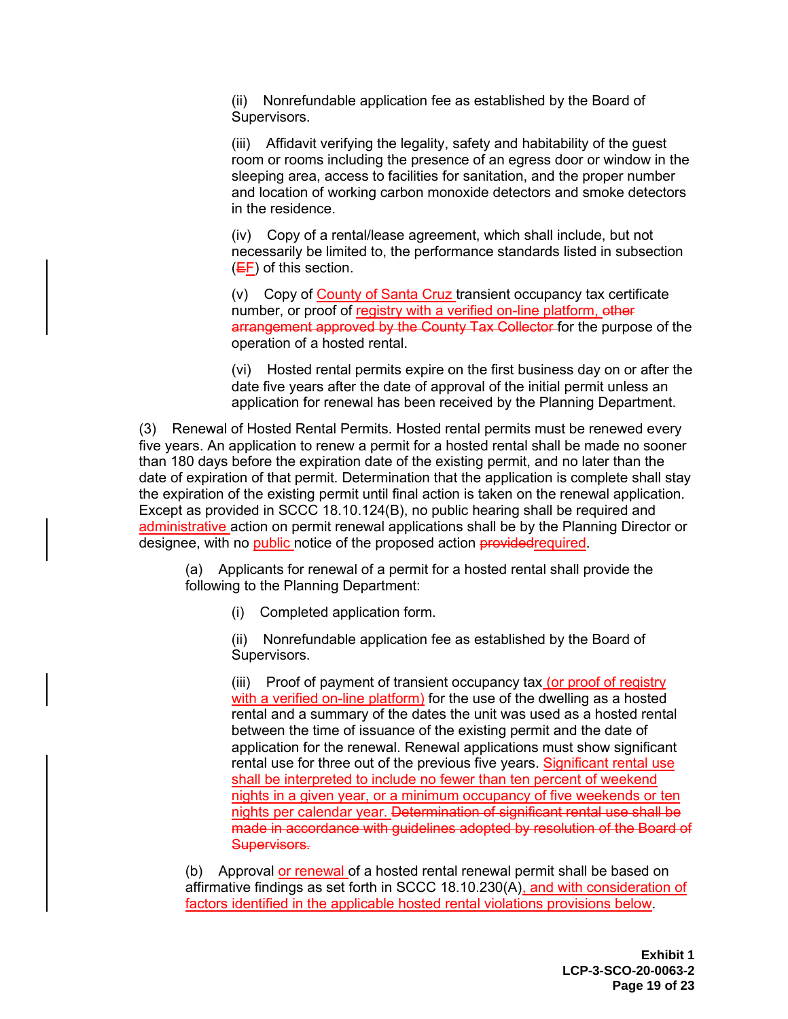(ii) Nonrefundable application fee as established by the Board of Supervisors.

(iii) Affidavit verifying the legality, safety and habitability of the guest room or rooms including the presence of an egress door or window in the sleeping area, access to facilities for sanitation, and the proper number and location of working carbon monoxide detectors and smoke detectors in the residence.

(iv) Copy of a rental/lease agreement, which shall include, but not necessarily be limited to, the performance standards listed in subsection (EF) of this section.

(v) Copy of County of Santa Cruz transient occupancy tax certificate number, or proof of registry with a verified on-line platform, other arrangement approved by the County Tax Collector for the purpose of the operation of a hosted rental.

(vi) Hosted rental permits expire on the first business day on or after the date five years after the date of approval of the initial permit unless an application for renewal has been received by the Planning Department.

(3) Renewal of Hosted Rental Permits. Hosted rental permits must be renewed every five years. An application to renew a permit for a hosted rental shall be made no sooner than 180 days before the expiration date of the existing permit, and no later than the date of expiration of that permit. Determination that the application is complete shall stay the expiration of the existing permit until final action is taken on the renewal application. Except as provided in SCCC 18.10.124(B), no public hearing shall be required and administrative action on permit renewal applications shall be by the Planning Director or designee, with no public notice of the proposed action provided required.

(a) Applicants for renewal of a permit for a hosted rental shall provide the following to the Planning Department:

(i) Completed application form.

(ii) Nonrefundable application fee as established by the Board of Supervisors.

(iii) Proof of payment of transient occupancy tax (or proof of registry with a verified on-line platform) for the use of the dwelling as a hosted rental and a summary of the dates the unit was used as a hosted rental between the time of issuance of the existing permit and the date of application for the renewal. Renewal applications must show significant rental use for three out of the previous five years. Significant rental use shall be interpreted to include no fewer than ten percent of weekend nights in a given year, or a minimum occupancy of five weekends or ten nights per calendar year. Determination of significant rental use shall be made in accordance with guidelines adopted by resolution of the Board of Supervisors.

(b) Approval or renewal of a hosted rental renewal permit shall be based on affirmative findings as set forth in SCCC 18.10.230(A), and with consideration of factors identified in the applicable hosted rental violations provisions below.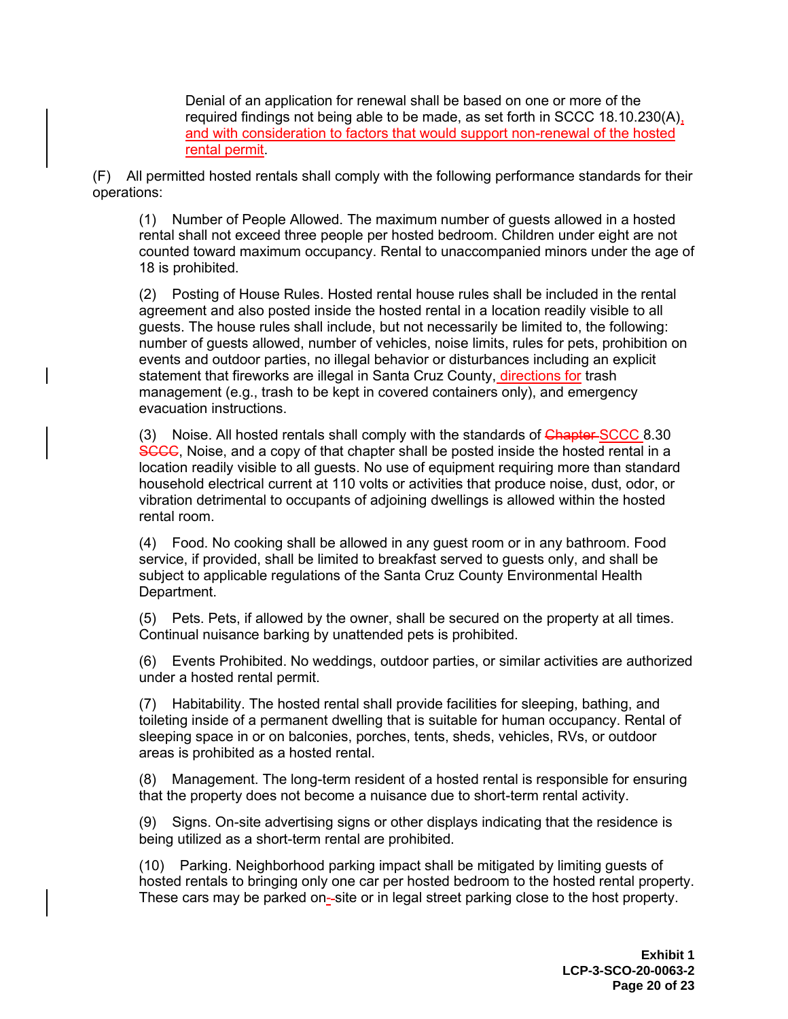Denial of an application for renewal shall be based on one or more of the required findings not being able to be made, as set forth in SCCC 18.10.230(A), and with consideration to factors that would support non-renewal of the hosted rental permit.

(F) All permitted hosted rentals shall comply with the following performance standards for their operations:

(1) Number of People Allowed. The maximum number of guests allowed in a hosted rental shall not exceed three people per hosted bedroom. Children under eight are not counted toward maximum occupancy. Rental to unaccompanied minors under the age of 18 is prohibited.

(2) Posting of House Rules. Hosted rental house rules shall be included in the rental agreement and also posted inside the hosted rental in a location readily visible to all guests. The house rules shall include, but not necessarily be limited to, the following: number of guests allowed, number of vehicles, noise limits, rules for pets, prohibition on events and outdoor parties, no illegal behavior or disturbances including an explicit statement that fireworks are illegal in Santa Cruz County, directions for trash management (e.g., trash to be kept in covered containers only), and emergency evacuation instructions.

(3) Noise. All hosted rentals shall comply with the standards of **Chapter-SCCC** 8.30 SCCC, Noise, and a copy of that chapter shall be posted inside the hosted rental in a location readily visible to all guests. No use of equipment requiring more than standard household electrical current at 110 volts or activities that produce noise, dust, odor, or vibration detrimental to occupants of adjoining dwellings is allowed within the hosted rental room.

(4) Food. No cooking shall be allowed in any guest room or in any bathroom. Food service, if provided, shall be limited to breakfast served to guests only, and shall be subject to applicable regulations of the Santa Cruz County Environmental Health Department.

(5) Pets. Pets, if allowed by the owner, shall be secured on the property at all times. Continual nuisance barking by unattended pets is prohibited.

(6) Events Prohibited. No weddings, outdoor parties, or similar activities are authorized under a hosted rental permit.

(7) Habitability. The hosted rental shall provide facilities for sleeping, bathing, and toileting inside of a permanent dwelling that is suitable for human occupancy. Rental of sleeping space in or on balconies, porches, tents, sheds, vehicles, RVs, or outdoor areas is prohibited as a hosted rental.

(8) Management. The long-term resident of a hosted rental is responsible for ensuring that the property does not become a nuisance due to short-term rental activity.

(9) Signs. On-site advertising signs or other displays indicating that the residence is being utilized as a short-term rental are prohibited.

(10) Parking. Neighborhood parking impact shall be mitigated by limiting guests of hosted rentals to bringing only one car per hosted bedroom to the hosted rental property. These cars may be parked on--site or in legal street parking close to the host property.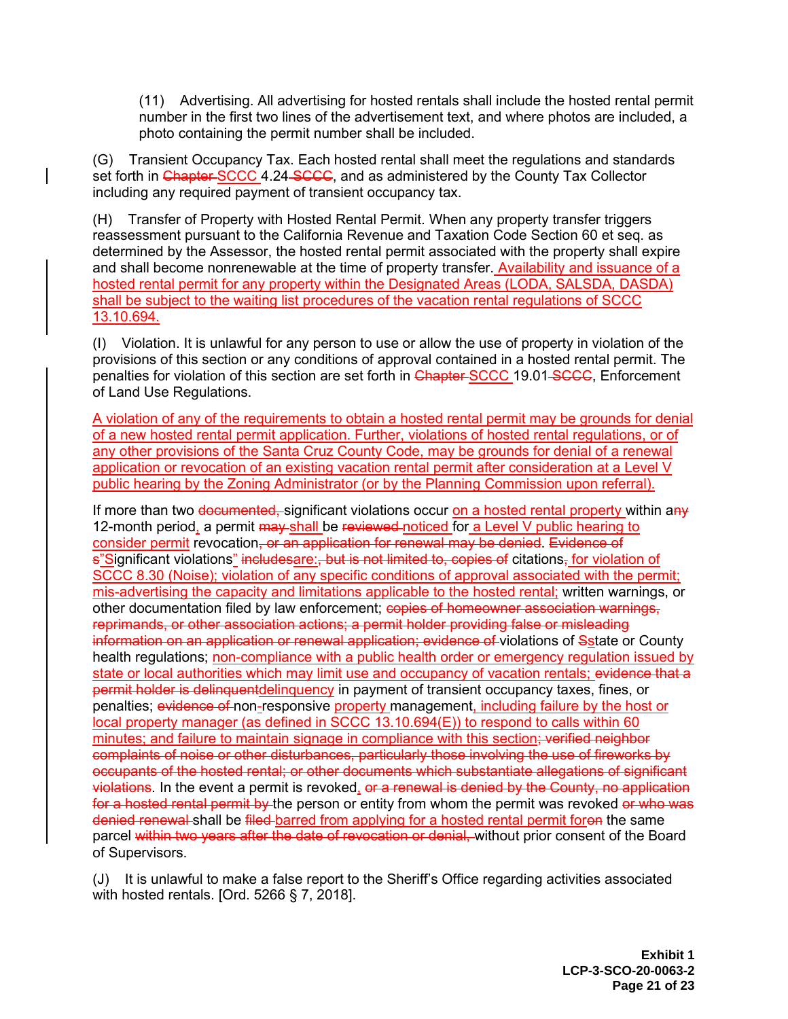(11) Advertising. All advertising for hosted rentals shall include the hosted rental permit number in the first two lines of the advertisement text, and where photos are included, a photo containing the permit number shall be included.

(G) Transient Occupancy Tax. Each hosted rental shall meet the regulations and standards set forth in Chapter SCCC 4.24-SCCC, and as administered by the County Tax Collector including any required payment of transient occupancy tax.

(H) Transfer of Property with Hosted Rental Permit. When any property transfer triggers reassessment pursuant to the California Revenue and Taxation Code Section 60 et seq. as determined by the Assessor, the hosted rental permit associated with the property shall expire and shall become nonrenewable at the time of property transfer. Availability and issuance of a hosted rental permit for any property within the Designated Areas (LODA, SALSDA, DASDA) shall be subject to the waiting list procedures of the vacation rental regulations of SCCC 13.10.694.

(I) Violation. It is unlawful for any person to use or allow the use of property in violation of the provisions of this section or any conditions of approval contained in a hosted rental permit. The penalties for violation of this section are set forth in Chapter-SCCC 19.01-SCCC, Enforcement of Land Use Regulations.

A violation of any of the requirements to obtain a hosted rental permit may be grounds for denial of a new hosted rental permit application. Further, violations of hosted rental regulations, or of any other provisions of the Santa Cruz County Code, may be grounds for denial of a renewal application or revocation of an existing vacation rental permit after consideration at a Level V public hearing by the Zoning Administrator (or by the Planning Commission upon referral).

If more than two documented, significant violations occur on a hosted rental property within any 12-month period, a permit may-shall be reviewed-noticed for a Level V public hearing to consider permit revocation, or an application for renewal may be denied. Evidence of s"Significant violations" includesare:, but is not limited to, copies of citations, for violation of SCCC 8.30 (Noise); violation of any specific conditions of approval associated with the permit; mis-advertising the capacity and limitations applicable to the hosted rental; written warnings, or other documentation filed by law enforcement; copies of homeowner association warnings, reprimands, or other association actions; a permit holder providing false or misleading information on an application or renewal application; evidence of violations of Sstate or County health regulations; non-compliance with a public health order or emergency regulation issued by state or local authorities which may limit use and occupancy of vacation rentals; evidence that a permit holder is delinquentdelinquency in payment of transient occupancy taxes, fines, or penalties; evidence of non-responsive property management, including failure by the host or local property manager (as defined in SCCC 13.10.694(E)) to respond to calls within 60 minutes; and failure to maintain signage in compliance with this section; verified neighbor complaints of noise or other disturbances, particularly those involving the use of fireworks by occupants of the hosted rental; or other documents which substantiate allegations of significant violations. In the event a permit is revoked, or a renewal is denied by the County, no application for a hosted rental permit by the person or entity from whom the permit was revoked or who was denied renewal shall be filed barred from applying for a hosted rental permit foron the same parcel within two years after the date of revocation or denial, without prior consent of the Board of Supervisors.

(J) It is unlawful to make a false report to the Sheriff's Office regarding activities associated with hosted rentals. [Ord. 5266 § 7, 2018].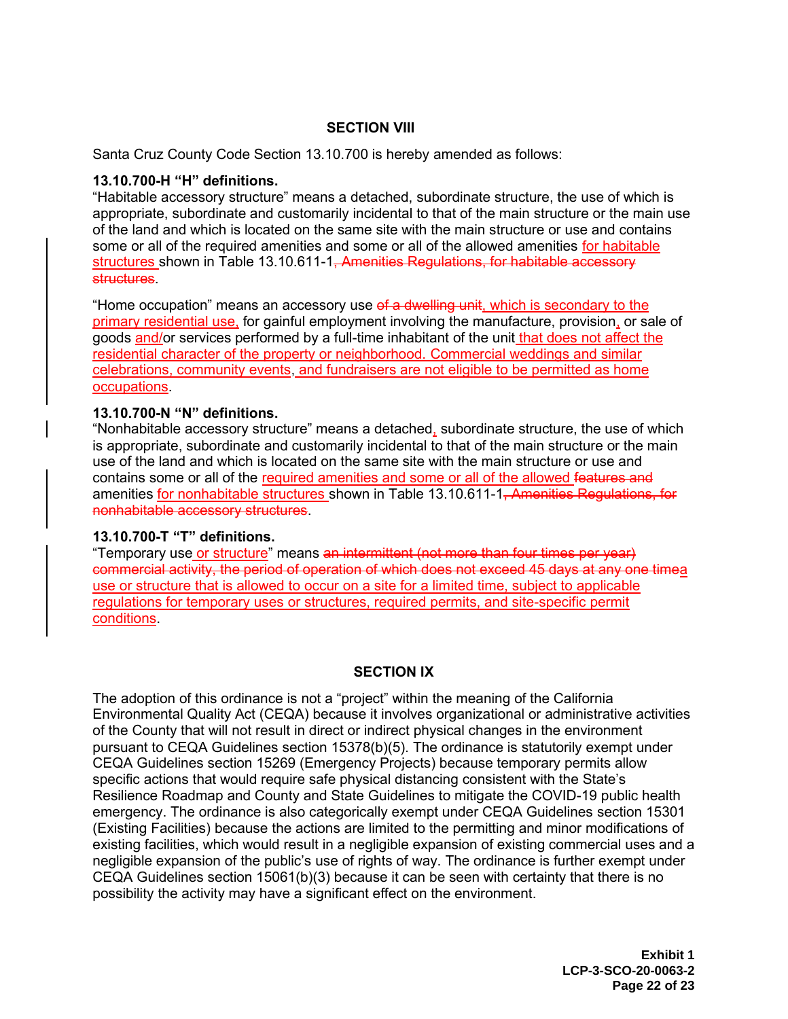## **SECTION VIII**

Santa Cruz County Code Section 13.10.700 is hereby amended as follows:

#### **13.10.700-H "H" definitions.**

"Habitable accessory structure" means a detached, subordinate structure, the use of which is appropriate, subordinate and customarily incidental to that of the main structure or the main use of the land and which is located on the same site with the main structure or use and contains some or all of the required amenities and some or all of the allowed amenities for habitable structures shown in Table 13.10.611-1<del>, Amenities Regulations, for habitable accessory</del> structures.

"Home occupation" means an accessory use of a dwelling unit, which is secondary to the primary residential use, for gainful employment involving the manufacture, provision, or sale of goods and/or services performed by a full-time inhabitant of the unit that does not affect the residential character of the property or neighborhood. Commercial weddings and similar celebrations, community events, and fundraisers are not eligible to be permitted as home occupations.

## **13.10.700-N "N" definitions.**

"Nonhabitable accessory structure" means a detached, subordinate structure, the use of which is appropriate, subordinate and customarily incidental to that of the main structure or the main use of the land and which is located on the same site with the main structure or use and contains some or all of the required amenities and some or all of the allowed features and amenities for nonhabitable structures shown in Table 13.10.611-1<del>, Amenities Regulations, for</del> nonhabitable accessory structures.

#### **13.10.700-T "T" definitions.**

"Temporary use or structure" means an intermittent (not more than four times per year) commercial activity, the period of operation of which does not exceed 45 days at any one timea use or structure that is allowed to occur on a site for a limited time, subject to applicable regulations for temporary uses or structures, required permits, and site-specific permit conditions.

#### **SECTION IX**

The adoption of this ordinance is not a "project" within the meaning of the California Environmental Quality Act (CEQA) because it involves organizational or administrative activities of the County that will not result in direct or indirect physical changes in the environment pursuant to CEQA Guidelines section 15378(b)(5). The ordinance is statutorily exempt under CEQA Guidelines section 15269 (Emergency Projects) because temporary permits allow specific actions that would require safe physical distancing consistent with the State's Resilience Roadmap and County and State Guidelines to mitigate the COVID-19 public health emergency. The ordinance is also categorically exempt under CEQA Guidelines section 15301 (Existing Facilities) because the actions are limited to the permitting and minor modifications of existing facilities, which would result in a negligible expansion of existing commercial uses and a negligible expansion of the public's use of rights of way. The ordinance is further exempt under CEQA Guidelines section 15061(b)(3) because it can be seen with certainty that there is no possibility the activity may have a significant effect on the environment.

> **Exhibit 1 LCP-3-SCO-20-0063-2 Page 22 of 23**